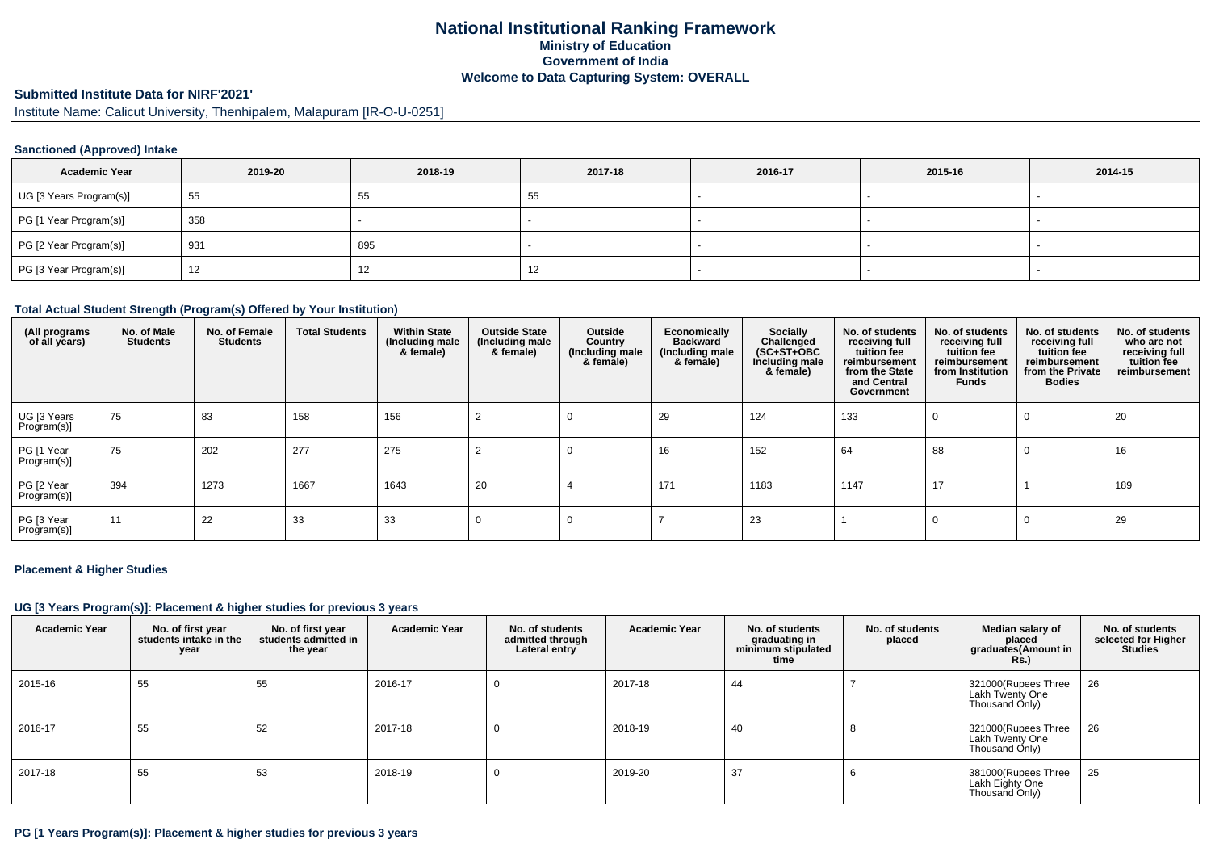# **National Institutional Ranking FrameworkMinistry of Education Government of IndiaWelcome to Data Capturing System: OVERALL**

# **Submitted Institute Data for NIRF'2021'**

Institute Name: Calicut University, Thenhipalem, Malapuram [IR-O-U-0251]

#### **Sanctioned (Approved) Intake**

| <b>Academic Year</b>    | 2019-20 | 2018-19 | 2017-18 | 2016-17 | 2015-16 | 2014-15 |
|-------------------------|---------|---------|---------|---------|---------|---------|
| UG [3 Years Program(s)] | 55      | 55      | 55      |         |         |         |
| PG [1 Year Program(s)]  | 358     |         |         |         |         |         |
| PG [2 Year Program(s)]  | 931     | 895     |         |         |         |         |
| PG [3 Year Program(s)]  | 12      | 14      | 12      |         |         |         |

#### **Total Actual Student Strength (Program(s) Offered by Your Institution)**

| (All programs<br>of all years) | No. of Male<br><b>Students</b> | No. of Female<br><b>Students</b> | <b>Total Students</b> | <b>Within State</b><br>(Including male<br>& female) | <b>Outside State</b><br>(Including male<br>& female) | Outside<br>Country<br>(Including male<br>& female) | Economically<br><b>Backward</b><br>(Including male<br>& female) | <b>Socially</b><br>Challenged<br>$(SC+ST+OBC)$<br>Including male<br>& female) | No. of students<br>receiving full<br>tuition fee<br>reimbursement<br>from the State<br>and Central<br>Government | No. of students<br>receiving full<br>tuition fee<br>reimbursement<br>from Institution<br><b>Funds</b> | No. of students<br>receiving full<br>tuition fee<br>reimbursement<br>from the Private<br><b>Bodies</b> | No. of students<br>who are not<br>receiving full<br>tuition fee<br>reimbursement |
|--------------------------------|--------------------------------|----------------------------------|-----------------------|-----------------------------------------------------|------------------------------------------------------|----------------------------------------------------|-----------------------------------------------------------------|-------------------------------------------------------------------------------|------------------------------------------------------------------------------------------------------------------|-------------------------------------------------------------------------------------------------------|--------------------------------------------------------------------------------------------------------|----------------------------------------------------------------------------------|
| UG [3 Years<br>Program(s)]     | 75                             | 83                               | 158                   | 156                                                 |                                                      |                                                    | 29                                                              | 124                                                                           | 133                                                                                                              |                                                                                                       | 0                                                                                                      | 20                                                                               |
| PG [1 Year<br>Program(s)]      | 75                             | 202                              | 277                   | 275                                                 |                                                      |                                                    | 16                                                              | 152                                                                           | 64                                                                                                               | 88                                                                                                    | 0                                                                                                      | 16                                                                               |
| PG [2 Year<br>Program(s)]      | 394                            | 1273                             | 1667                  | 1643                                                | 20                                                   |                                                    | 171                                                             | 1183                                                                          | 1147                                                                                                             | 17                                                                                                    |                                                                                                        | 189                                                                              |
| PG [3 Year<br>Program(s)]      | 11                             | 22                               | 33                    | 33                                                  |                                                      |                                                    |                                                                 | 23                                                                            |                                                                                                                  | O                                                                                                     | 0                                                                                                      | 29                                                                               |

#### **Placement & Higher Studies**

#### **UG [3 Years Program(s)]: Placement & higher studies for previous 3 years**

| <b>Academic Year</b> | No. of first year<br>students intake in the<br>year | No. of first year<br>students admitted in<br>the year | <b>Academic Year</b> | No. of students<br>admitted through<br>Lateral entry | <b>Academic Year</b> | No. of students<br>graduating in<br>minimum stipulated<br>time | No. of students<br>placed | Median salary of<br>placed<br>graduates(Amount in<br><b>Rs.)</b> | No. of students<br>selected for Higher<br><b>Studies</b> |
|----------------------|-----------------------------------------------------|-------------------------------------------------------|----------------------|------------------------------------------------------|----------------------|----------------------------------------------------------------|---------------------------|------------------------------------------------------------------|----------------------------------------------------------|
| 2015-16              | 55                                                  | 55                                                    | 2016-17              |                                                      | 2017-18              | 44                                                             |                           | 321000(Rupees Three<br>Lakh Twenty One<br>Thousand Only)         | 26                                                       |
| 2016-17              | 55                                                  | 52                                                    | 2017-18              |                                                      | 2018-19              | 40                                                             | $\Omega$                  | 321000(Rupees Three<br>Lakh Twenty One<br>Thousand Only)         | 26                                                       |
| 2017-18              | 55                                                  | 53                                                    | 2018-19              |                                                      | 2019-20              | 37                                                             | O                         | 381000(Rupees Three<br>Lakh Eighty One<br>Thousand Only)         | 25                                                       |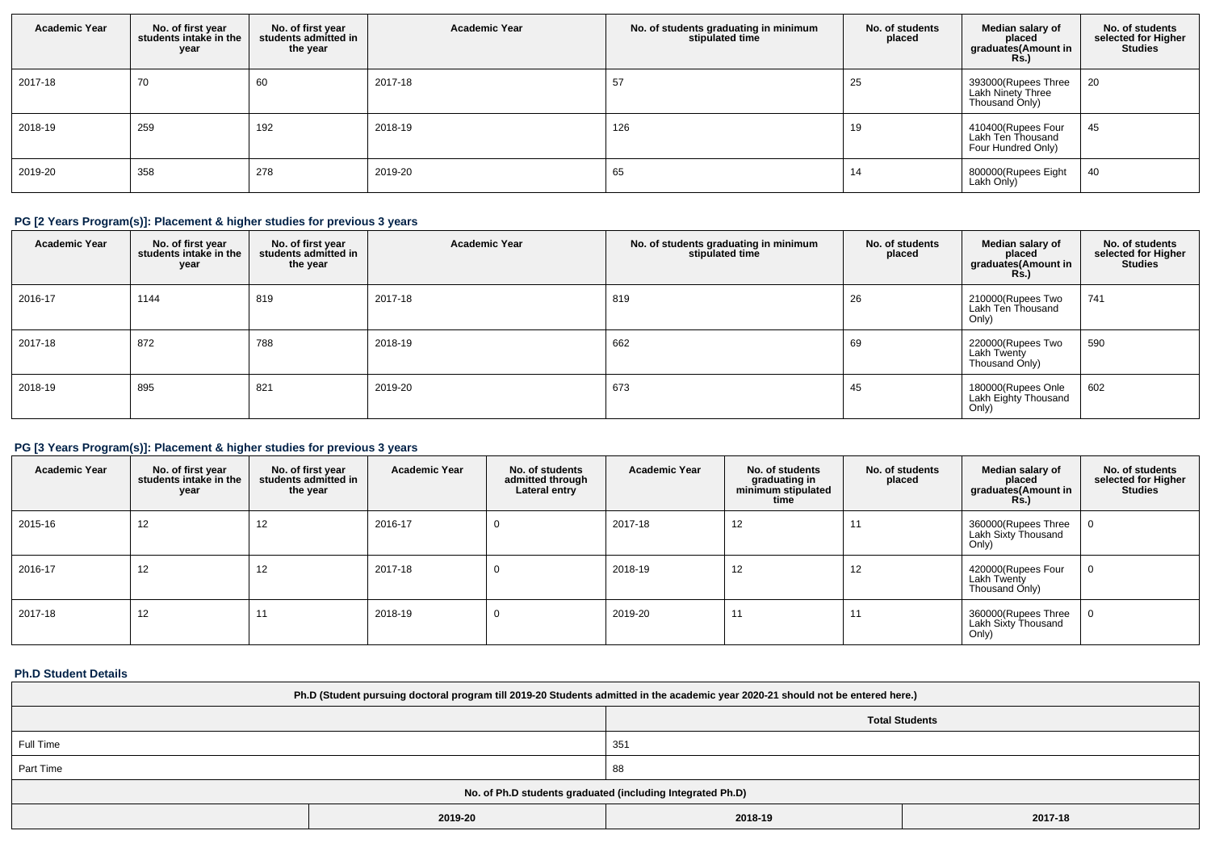| <b>Academic Year</b> | No. of first year<br>students intake in the<br>year | No. of first year<br>students admitted in<br>the year | <b>Academic Year</b> | No. of students graduating in minimum<br>stipulated time | No. of students<br>placed | Median salary of<br>placed<br>graduates(Amount in<br><b>Rs.)</b>  | No. of students<br>selected for Higher<br><b>Studies</b> |
|----------------------|-----------------------------------------------------|-------------------------------------------------------|----------------------|----------------------------------------------------------|---------------------------|-------------------------------------------------------------------|----------------------------------------------------------|
| 2017-18              | 70                                                  | 60                                                    | 2017-18              | 57                                                       | 25                        | 393000(Rupees Three<br><b>Lakh Ninety Three</b><br>Thousand Only) | 20                                                       |
| 2018-19              | 259                                                 | 192                                                   | 2018-19              | 126                                                      | 19                        | 410400(Rupees Four<br>Lakh Ten Thousand<br>Four Hundred Only)     | 45                                                       |
| 2019-20              | 358                                                 | 278                                                   | 2019-20              | 65                                                       | 14                        | 800000(Rupees Eight<br>Lakh Only)                                 | 40                                                       |

# **PG [2 Years Program(s)]: Placement & higher studies for previous 3 years**

| <b>Academic Year</b> | No. of first year<br>students intake in the<br>year | No. of first year<br>students admitted in<br>the year | <b>Academic Year</b> | No. of students graduating in minimum<br>stipulated time | No. of students<br>placed | Median salary of<br>placed<br>graduates(Amount in<br><b>Rs.)</b> | No. of students<br>selected for Higher<br><b>Studies</b> |
|----------------------|-----------------------------------------------------|-------------------------------------------------------|----------------------|----------------------------------------------------------|---------------------------|------------------------------------------------------------------|----------------------------------------------------------|
| 2016-17              | 1144                                                | 819                                                   | 2017-18              | 819                                                      | 26                        | 210000(Rupees Two<br>Lakh Ten Thousand<br>Only)                  | 741                                                      |
| 2017-18              | 872                                                 | 788                                                   | 2018-19              | 662                                                      | 69                        | 220000(Rupees Two<br>Lakh Twenty<br>Thousand Only)               | 590                                                      |
| 2018-19              | 895                                                 | 821                                                   | 2019-20              | 673                                                      | 45                        | 180000(Rupees Onle<br>Lakh Eighty Thousand<br>Only)              | 602                                                      |

# **PG [3 Years Program(s)]: Placement & higher studies for previous 3 years**

| <b>Academic Year</b> | No. of first year<br>students intake in the<br>year | No. of first year<br>students admitted in<br>the year | <b>Academic Year</b> | No. of students<br>admitted through<br>Lateral entry | <b>Academic Year</b> | No. of students<br>graduating in<br>minimum stipulated<br>time | No. of students<br>placed | Median salary of<br>placed<br>graduates(Amount in<br><b>Rs.)</b> | No. of students<br>selected for Higher<br><b>Studies</b> |
|----------------------|-----------------------------------------------------|-------------------------------------------------------|----------------------|------------------------------------------------------|----------------------|----------------------------------------------------------------|---------------------------|------------------------------------------------------------------|----------------------------------------------------------|
| 2015-16              | 12                                                  | 12                                                    | 2016-17              | 0                                                    | 2017-18              | 12                                                             | $1^{\prime}$              | 360000(Rupees Three<br>Lakh Sixty Thousand<br>Only)              |                                                          |
| 2016-17              | 12                                                  | 12                                                    | 2017-18              | 0                                                    | 2018-19              | 12                                                             | 12                        | 420000(Rupees Four<br>Lakh Twenty<br>Thousand Only)              |                                                          |
| 2017-18              | 12                                                  | 11                                                    | 2018-19              | 0                                                    | 2019-20              | 11                                                             | $1^{\prime}$              | 360000(Rupees Three<br>Lakh Sixty Thousand<br>Only)              |                                                          |

# **Ph.D Student Details**

| Ph.D (Student pursuing doctoral program till 2019-20 Students admitted in the academic year 2020-21 should not be entered here.) |                               |     |  |  |  |
|----------------------------------------------------------------------------------------------------------------------------------|-------------------------------|-----|--|--|--|
|                                                                                                                                  | <b>Total Students</b>         |     |  |  |  |
| Full Time                                                                                                                        |                               | 351 |  |  |  |
| Part Time                                                                                                                        |                               | 88  |  |  |  |
| No. of Ph.D students graduated (including Integrated Ph.D)                                                                       |                               |     |  |  |  |
|                                                                                                                                  | 2017-18<br>2019-20<br>2018-19 |     |  |  |  |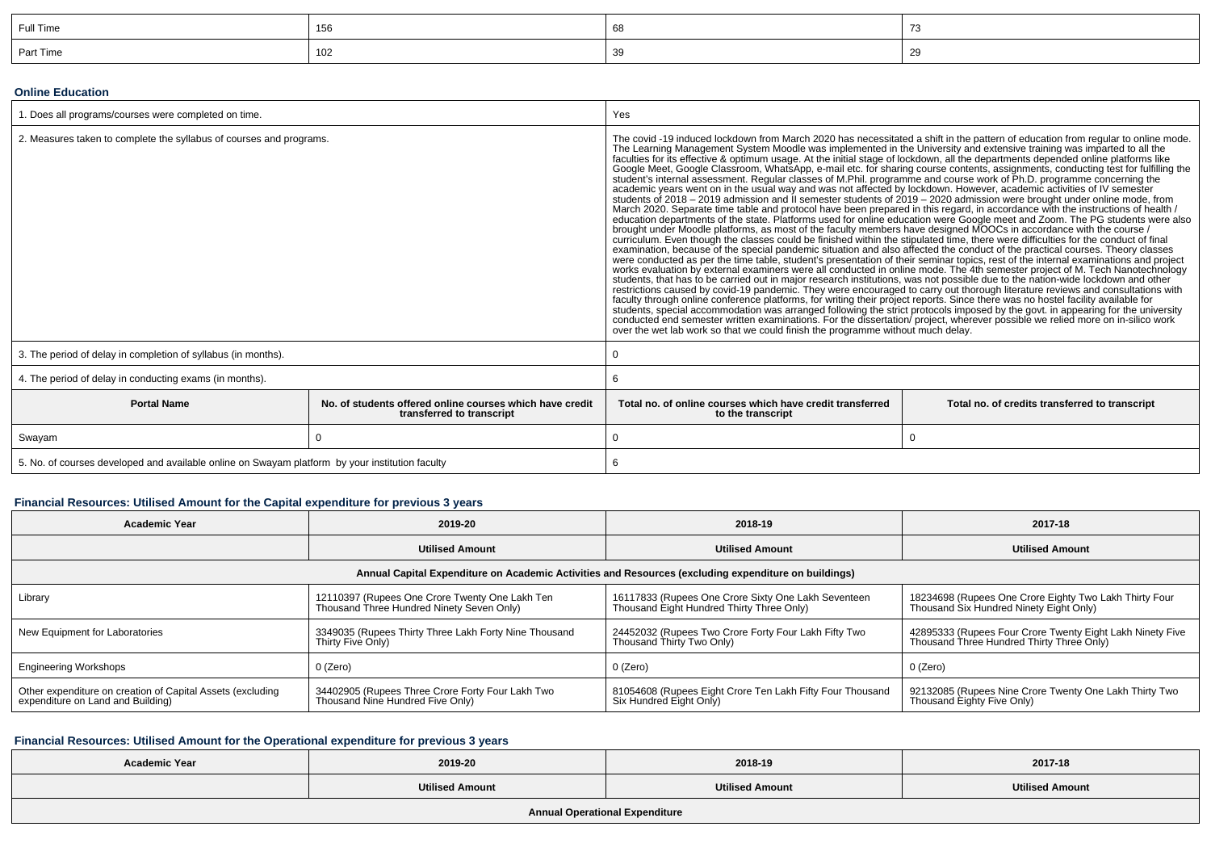| Full Time | 156 |  |
|-----------|-----|--|
| Part Time | 102 |  |

#### **Online Education**

| 1. Does all programs/courses were completed on time.                                            |                                                                                       | Yes                                                                                                                                                                                                                                                                                                                                                                                                                                                                                                                                                                                                                                                                                                                                                                                                                                                                                                                                                                                                                                                                                                                                                                                                                                                                                                                                                                                                                                                                                                                                                                                                                                                                                                                                                                                                                                                                                                                                                                                                                                                                                                                                                                                                                                                                                                                                                                                                                                                                                                                                                |  |  |
|-------------------------------------------------------------------------------------------------|---------------------------------------------------------------------------------------|----------------------------------------------------------------------------------------------------------------------------------------------------------------------------------------------------------------------------------------------------------------------------------------------------------------------------------------------------------------------------------------------------------------------------------------------------------------------------------------------------------------------------------------------------------------------------------------------------------------------------------------------------------------------------------------------------------------------------------------------------------------------------------------------------------------------------------------------------------------------------------------------------------------------------------------------------------------------------------------------------------------------------------------------------------------------------------------------------------------------------------------------------------------------------------------------------------------------------------------------------------------------------------------------------------------------------------------------------------------------------------------------------------------------------------------------------------------------------------------------------------------------------------------------------------------------------------------------------------------------------------------------------------------------------------------------------------------------------------------------------------------------------------------------------------------------------------------------------------------------------------------------------------------------------------------------------------------------------------------------------------------------------------------------------------------------------------------------------------------------------------------------------------------------------------------------------------------------------------------------------------------------------------------------------------------------------------------------------------------------------------------------------------------------------------------------------------------------------------------------------------------------------------------------------|--|--|
| 2. Measures taken to complete the syllabus of courses and programs.                             |                                                                                       | The covid -19 induced lockdown from March 2020 has necessitated a shift in the pattern of education from regular to online mode.<br>The Learning Management System Moodle was implemented in the University and extensive training was imparted to all the<br>faculties for its effective & optimum usage. At the initial stage of lockdown, all the departments depe<br>Google Meet, Google Classroom, WhatsApp, e-mail etc. for sharing course contents, assignments, conducting test for fulfilling the<br>student's internal assessment. Regular classes of M.Phil. programme and course work of Ph.D. programme concerning the academic years went on in the usual way and was not affected by lockdown. However, academic activities o<br>students of 2018 - 2019 admission and II semester students of 2019 - 2020 admission were brought under online mode, from<br>March 2020. Separate time table and protocol have been prepared in this regard, in accordance with the instructions of health /<br>education departments of the state. Platforms used for online education were Google meet and Z<br>brought under Moodle platforms, as most of the faculty members have designed MOOCs in accordance with the course /<br>curriculum. Even though the classes could be finished within the stipulated time, there were difficulties for the conduct of final<br>examination, because of the special pandemic situation and also affected the conduct of the practical courses. Theory classes<br>were conducted as per the time table, student's presentation of their seminar topics, rest of the internal examinations and project<br>works evaluation by external examiners were all conducted in online mode. The 4th semester project of M. Tech Nanotechnology<br>students, that has to be carried out in major research institutions, was not possible due to the nation-wide lockdown and other<br>restrictions caused by covid-19 pandemic. They were encouraged to carry out thorough literature reviews and consultations with<br>faculty through online conference platforms, for writing their project reports. Since there was no hostel facility available for<br>students, special accommodation was arranged following the strict protocols imposed by the govt. in appearing for the university<br>conducted end semester written examinations. For the dissertation/project, wherever possible we relied more on in-silico work<br>over the wet lab work so that we could finish the programme without much delay. |  |  |
| 3. The period of delay in completion of syllabus (in months).                                   |                                                                                       |                                                                                                                                                                                                                                                                                                                                                                                                                                                                                                                                                                                                                                                                                                                                                                                                                                                                                                                                                                                                                                                                                                                                                                                                                                                                                                                                                                                                                                                                                                                                                                                                                                                                                                                                                                                                                                                                                                                                                                                                                                                                                                                                                                                                                                                                                                                                                                                                                                                                                                                                                    |  |  |
| 4. The period of delay in conducting exams (in months).                                         |                                                                                       |                                                                                                                                                                                                                                                                                                                                                                                                                                                                                                                                                                                                                                                                                                                                                                                                                                                                                                                                                                                                                                                                                                                                                                                                                                                                                                                                                                                                                                                                                                                                                                                                                                                                                                                                                                                                                                                                                                                                                                                                                                                                                                                                                                                                                                                                                                                                                                                                                                                                                                                                                    |  |  |
| <b>Portal Name</b>                                                                              | No. of students offered online courses which have credit<br>transferred to transcript | Total no, of online courses which have credit transferred<br>Total no. of credits transferred to transcript<br>to the transcript                                                                                                                                                                                                                                                                                                                                                                                                                                                                                                                                                                                                                                                                                                                                                                                                                                                                                                                                                                                                                                                                                                                                                                                                                                                                                                                                                                                                                                                                                                                                                                                                                                                                                                                                                                                                                                                                                                                                                                                                                                                                                                                                                                                                                                                                                                                                                                                                                   |  |  |
| Swayam                                                                                          |                                                                                       | $\Omega$                                                                                                                                                                                                                                                                                                                                                                                                                                                                                                                                                                                                                                                                                                                                                                                                                                                                                                                                                                                                                                                                                                                                                                                                                                                                                                                                                                                                                                                                                                                                                                                                                                                                                                                                                                                                                                                                                                                                                                                                                                                                                                                                                                                                                                                                                                                                                                                                                                                                                                                                           |  |  |
| 5. No. of courses developed and available online on Swayam platform by your institution faculty |                                                                                       |                                                                                                                                                                                                                                                                                                                                                                                                                                                                                                                                                                                                                                                                                                                                                                                                                                                                                                                                                                                                                                                                                                                                                                                                                                                                                                                                                                                                                                                                                                                                                                                                                                                                                                                                                                                                                                                                                                                                                                                                                                                                                                                                                                                                                                                                                                                                                                                                                                                                                                                                                    |  |  |

# **Financial Resources: Utilised Amount for the Capital expenditure for previous 3 years**

| <b>Academic Year</b>                                                                                 | 2019-20                                                                                     | 2018-19                                                                                          | 2017-18                                                                                                |  |  |  |  |  |
|------------------------------------------------------------------------------------------------------|---------------------------------------------------------------------------------------------|--------------------------------------------------------------------------------------------------|--------------------------------------------------------------------------------------------------------|--|--|--|--|--|
|                                                                                                      | <b>Utilised Amount</b>                                                                      | <b>Utilised Amount</b>                                                                           | <b>Utilised Amount</b>                                                                                 |  |  |  |  |  |
| Annual Capital Expenditure on Academic Activities and Resources (excluding expenditure on buildings) |                                                                                             |                                                                                                  |                                                                                                        |  |  |  |  |  |
| Library                                                                                              | 12110397 (Rupees One Crore Twenty One Lakh Ten<br>Thousand Three Hundred Ninety Seven Only) | 16117833 (Rupees One Crore Sixty One Lakh Seventeen<br>Thousand Eight Hundred Thirty Three Only) | 18234698 (Rupees One Crore Eighty Two Lakh Thirty Four<br>Thousand Six Hundred Ninety Eight Only)      |  |  |  |  |  |
| New Equipment for Laboratories                                                                       | 3349035 (Rupees Thirty Three Lakh Forty Nine Thousand<br>Thirty Five Only)                  | 24452032 (Rupees Two Crore Forty Four Lakh Fifty Two<br>Thousand Thirty Two Only)                | 42895333 (Rupees Four Crore Twenty Eight Lakh Ninety Five<br>Thousand Three Hundred Thirty Three Only) |  |  |  |  |  |
| <b>Engineering Workshops</b>                                                                         | 0 (Zero)                                                                                    | 0 (Zero)                                                                                         | 0 (Zero)                                                                                               |  |  |  |  |  |
| Other expenditure on creation of Capital Assets (excluding<br>expenditure on Land and Building)      | 34402905 (Rupees Three Crore Forty Four Lakh Two<br>Thousand Nine Hundred Five Only)        | 81054608 (Rupees Eight Crore Ten Lakh Fifty Four Thousand<br>Six Hundred Eight Only)             | 92132085 (Rupees Nine Crore Twenty One Lakh Thirty Two<br>Thousand Eighty Five Only)                   |  |  |  |  |  |

# **Financial Resources: Utilised Amount for the Operational expenditure for previous 3 years**

| <b>Academic Year</b>                  | 2019-20                | 2018-19                | 2017-18                |  |  |  |
|---------------------------------------|------------------------|------------------------|------------------------|--|--|--|
|                                       | <b>Utilised Amount</b> | <b>Utilised Amount</b> | <b>Utilised Amount</b> |  |  |  |
| <b>Annual Operational Expenditure</b> |                        |                        |                        |  |  |  |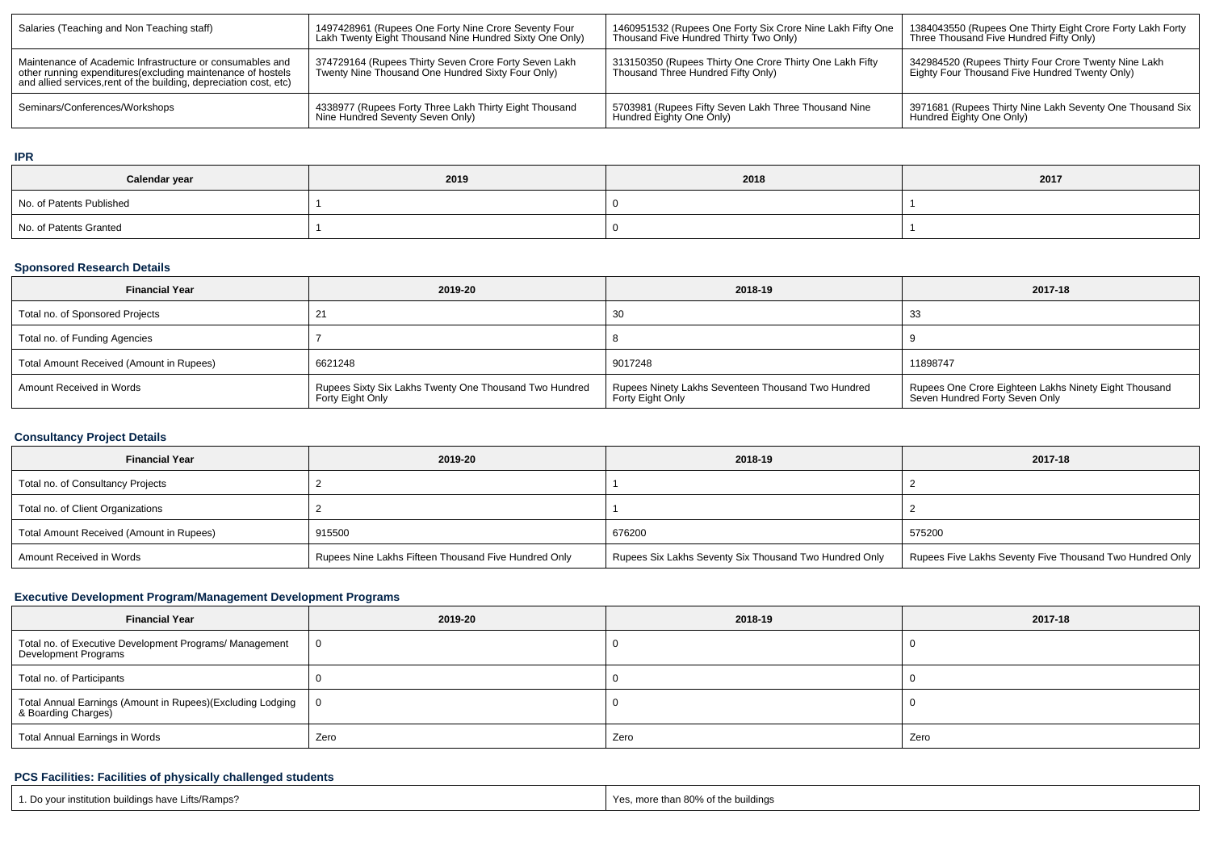| Salaries (Teaching and Non Teaching staff)                                                                                                                                                      | 1497428961 (Rupees One Forty Nine Crore Seventy Four<br>Lakh Twenty Eight Thousand Nine Hundred Sixty One Only) | 1460951532 (Rupees One Forty Six Crore Nine Lakh Fifty One<br>Thousand Five Hundred Thirty Two Only) | 1384043550 (Rupees One Thirty Eight Crore Forty Lakh Forty<br>Three Thousand Five Hundred Fifty Only)  |
|-------------------------------------------------------------------------------------------------------------------------------------------------------------------------------------------------|-----------------------------------------------------------------------------------------------------------------|------------------------------------------------------------------------------------------------------|--------------------------------------------------------------------------------------------------------|
| Maintenance of Academic Infrastructure or consumables and<br>other running expenditures (excluding maintenance of hostels<br>and allied services, rent of the building, depreciation cost, etc) | 374729164 (Rupees Thirty Seven Crore Forty Seven Lakh<br>Twenty Nine Thousand One Hundred Sixty Four Only)      | 313150350 (Rupees Thirty One Crore Thirty One Lakh Fifty<br>Thousand Three Hundred Fifty Only)       | 342984520 (Rupees Thirty Four Crore Twenty Nine Lakh<br>Eighty Four Thousand Five Hundred Twenty Only) |
| Seminars/Conferences/Workshops                                                                                                                                                                  | 4338977 (Rupees Forty Three Lakh Thirty Eight Thousand<br>Nine Hundred Seventy Seven Only)                      | 5703981 (Rupees Fifty Seven Lakh Three Thousand Nine<br>Hundred Eighty One Only)                     | 3971681 (Rupees Thirty Nine Lakh Seventy One Thousand Six<br>Hundred Eighty One Only)                  |

#### **IPR**

| Calendar year            | 2019 | 2018 | 2017 |  |  |
|--------------------------|------|------|------|--|--|
| No. of Patents Published |      |      |      |  |  |
| No. of Patents Granted   |      |      |      |  |  |

# **Sponsored Research Details**

| <b>Financial Year</b>                    | 2019-20                                                                    | 2018-19                                                                | 2017-18                                                                                 |
|------------------------------------------|----------------------------------------------------------------------------|------------------------------------------------------------------------|-----------------------------------------------------------------------------------------|
| Total no. of Sponsored Projects          |                                                                            | 30                                                                     | -33                                                                                     |
| Total no. of Funding Agencies            |                                                                            |                                                                        |                                                                                         |
| Total Amount Received (Amount in Rupees) | 6621248                                                                    | 9017248                                                                | 11898747                                                                                |
| Amount Received in Words                 | Rupees Sixty Six Lakhs Twenty One Thousand Two Hundred<br>Forty Eight Only | Rupees Ninety Lakhs Seventeen Thousand Two Hundred<br>Forty Eight Only | Rupees One Crore Eighteen Lakhs Ninety Eight Thousand<br>Seven Hundred Forty Seven Only |

# **Consultancy Project Details**

| <b>Financial Year</b>                    | 2019-20                                              | 2018-19                                                | 2017-18                                                  |
|------------------------------------------|------------------------------------------------------|--------------------------------------------------------|----------------------------------------------------------|
| Total no. of Consultancy Projects        |                                                      |                                                        |                                                          |
| Total no. of Client Organizations        |                                                      |                                                        |                                                          |
| Total Amount Received (Amount in Rupees) | 915500                                               | 676200                                                 | 575200                                                   |
| Amount Received in Words                 | Rupees Nine Lakhs Fifteen Thousand Five Hundred Only | Rupees Six Lakhs Seventy Six Thousand Two Hundred Only | Rupees Five Lakhs Seventy Five Thousand Two Hundred Only |

# **Executive Development Program/Management Development Programs**

| <b>Financial Year</b>                                                                            | 2019-20 | 2018-19 | 2017-18 |
|--------------------------------------------------------------------------------------------------|---------|---------|---------|
| Total no. of Executive Development Programs/ Management<br><b>Development Programs</b>           |         |         |         |
| Total no. of Participants                                                                        |         |         |         |
| <sup>1</sup> Total Annual Earnings (Amount in Rupees)(Excluding Lodging │<br>& Boarding Charges) | 0       |         |         |
| <b>Total Annual Earnings in Words</b>                                                            | Zero    | Zero    | Zero    |

# **PCS Facilities: Facilities of physically challenged students**

| 1. Do your institution buildings have Lifts/Ramps? | Yes, more than 80% of the buildings |
|----------------------------------------------------|-------------------------------------|
|----------------------------------------------------|-------------------------------------|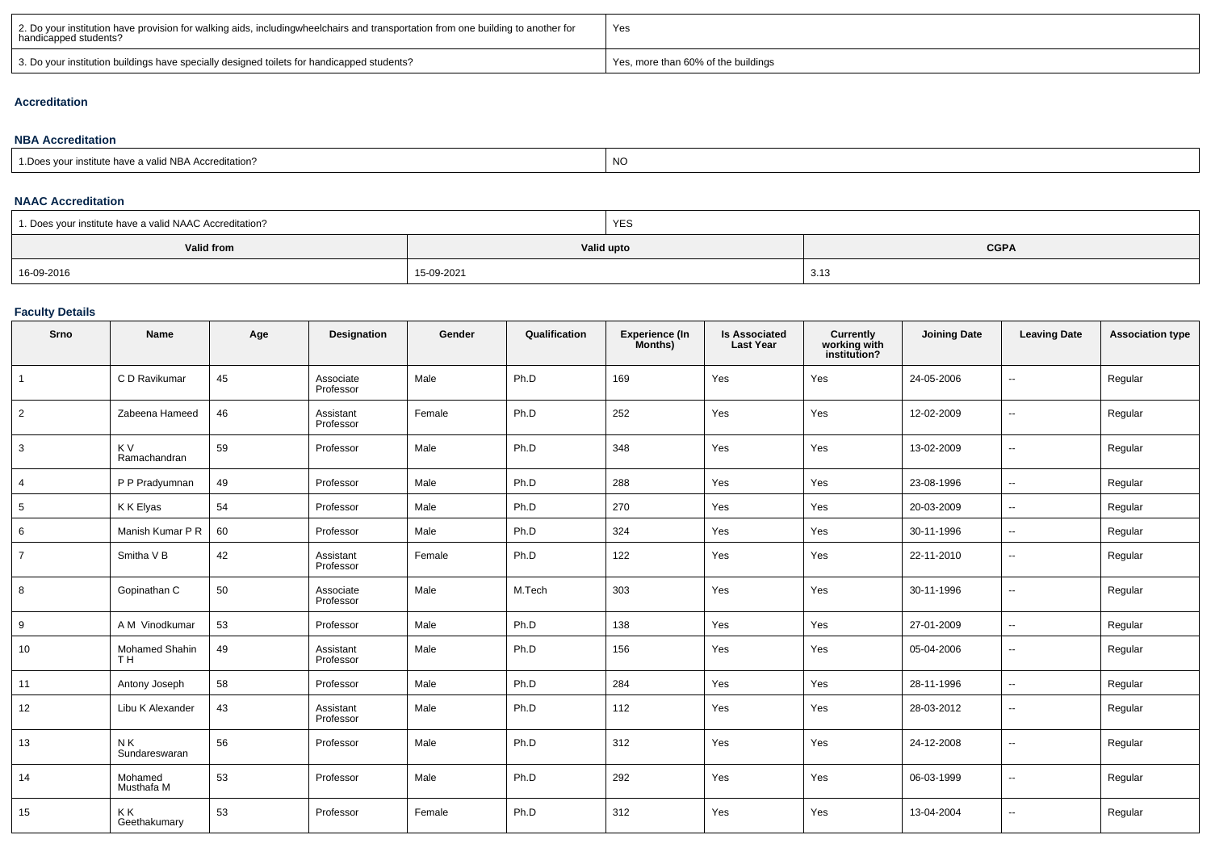| 2. Do your institution have provision for walking aids, includingwheelchairs and transportation from one building to another for<br>handicapped students? | Yes                                 |
|-----------------------------------------------------------------------------------------------------------------------------------------------------------|-------------------------------------|
| 3. Do your institution buildings have specially designed toilets for handicapped students?                                                                | Yes, more than 60% of the buildings |

#### **Accreditation**

#### **NBA Accreditation**1.Does your institute have a valid NBA Accreditation?expression of the contract of the contract of the contract of the contract of the contract of the contract of the contract of the contract of the contract of the contract of the contract of the contract of the contract of

#### **NAAC Accreditation**

| 1. Does your institute have a valid NAAC Accreditation? |            | YES                       |     |  |  |
|---------------------------------------------------------|------------|---------------------------|-----|--|--|
| Valid from                                              |            | <b>CGPA</b><br>Valid upto |     |  |  |
| 16-09-2016                                              | 15-09-2021 |                           | 3.1 |  |  |

#### **Faculty Details**

| Srno            | Name                                    | Age | Designation            | Gender | Qualification | Experience (In<br>Months) | <b>Is Associated</b><br><b>Last Year</b> | <b>Currently<br/>working with<br/>institution?</b> | <b>Joining Date</b> | <b>Leaving Date</b>      | <b>Association type</b> |
|-----------------|-----------------------------------------|-----|------------------------|--------|---------------|---------------------------|------------------------------------------|----------------------------------------------------|---------------------|--------------------------|-------------------------|
|                 | C D Ravikumar                           | 45  | Associate<br>Professor | Male   | Ph.D          | 169                       | Yes                                      | Yes                                                | 24-05-2006          | --                       | Regular                 |
| $\overline{2}$  | Zabeena Hameed                          | 46  | Assistant<br>Professor | Female | Ph.D          | 252                       | Yes                                      | Yes                                                | 12-02-2009          | $\overline{\phantom{a}}$ | Regular                 |
| 3               | K V<br>Ramachandran                     | 59  | Professor              | Male   | Ph.D          | 348                       | Yes                                      | Yes                                                | 13-02-2009          | $\overline{\phantom{a}}$ | Regular                 |
| $\overline{4}$  | P P Pradyumnan                          | 49  | Professor              | Male   | Ph.D          | 288                       | Yes                                      | Yes                                                | 23-08-1996          | $\overline{\phantom{a}}$ | Regular                 |
| $5\phantom{.0}$ | K K Elyas                               | 54  | Professor              | Male   | Ph.D          | 270                       | Yes                                      | Yes                                                | 20-03-2009          | $\overline{\phantom{a}}$ | Regular                 |
| 6               | Manish Kumar P R                        | 60  | Professor              | Male   | Ph.D          | 324                       | Yes                                      | Yes                                                | 30-11-1996          | $\sim$                   | Regular                 |
| $\overline{7}$  | Smitha V B                              | 42  | Assistant<br>Professor | Female | Ph.D          | 122                       | Yes                                      | Yes                                                | 22-11-2010          | $\overline{\phantom{a}}$ | Regular                 |
| 8               | Gopinathan C                            | 50  | Associate<br>Professor | Male   | M.Tech        | 303                       | Yes                                      | Yes                                                | 30-11-1996          | $\overline{\phantom{a}}$ | Regular                 |
| 9               | A M Vinodkumar                          | 53  | Professor              | Male   | Ph.D          | 138                       | Yes                                      | Yes                                                | 27-01-2009          | $\overline{\phantom{a}}$ | Regular                 |
| 10              | <b>Mohamed Shahin</b><br>T <sub>H</sub> | 49  | Assistant<br>Professor | Male   | Ph.D          | 156                       | Yes                                      | Yes                                                | 05-04-2006          | --                       | Regular                 |
| 11              | Antony Joseph                           | 58  | Professor              | Male   | Ph.D          | 284                       | Yes                                      | Yes                                                | 28-11-1996          | $\overline{\phantom{a}}$ | Regular                 |
| 12              | Libu K Alexander                        | 43  | Assistant<br>Professor | Male   | Ph.D          | 112                       | Yes                                      | Yes                                                | 28-03-2012          | $\overline{\phantom{a}}$ | Regular                 |
| 13              | NK.<br>Sundareswaran                    | 56  | Professor              | Male   | Ph.D          | 312                       | Yes                                      | Yes                                                | 24-12-2008          | $\overline{\phantom{a}}$ | Regular                 |
| 14              | Mohamed<br>Musthafa M                   | 53  | Professor              | Male   | Ph.D          | 292                       | Yes                                      | Yes                                                | 06-03-1999          | $\sim$                   | Regular                 |
| 15              | ΚK<br>Geethakumary                      | 53  | Professor              | Female | Ph.D          | 312                       | Yes                                      | Yes                                                | 13-04-2004          | $\overline{\phantom{a}}$ | Regular                 |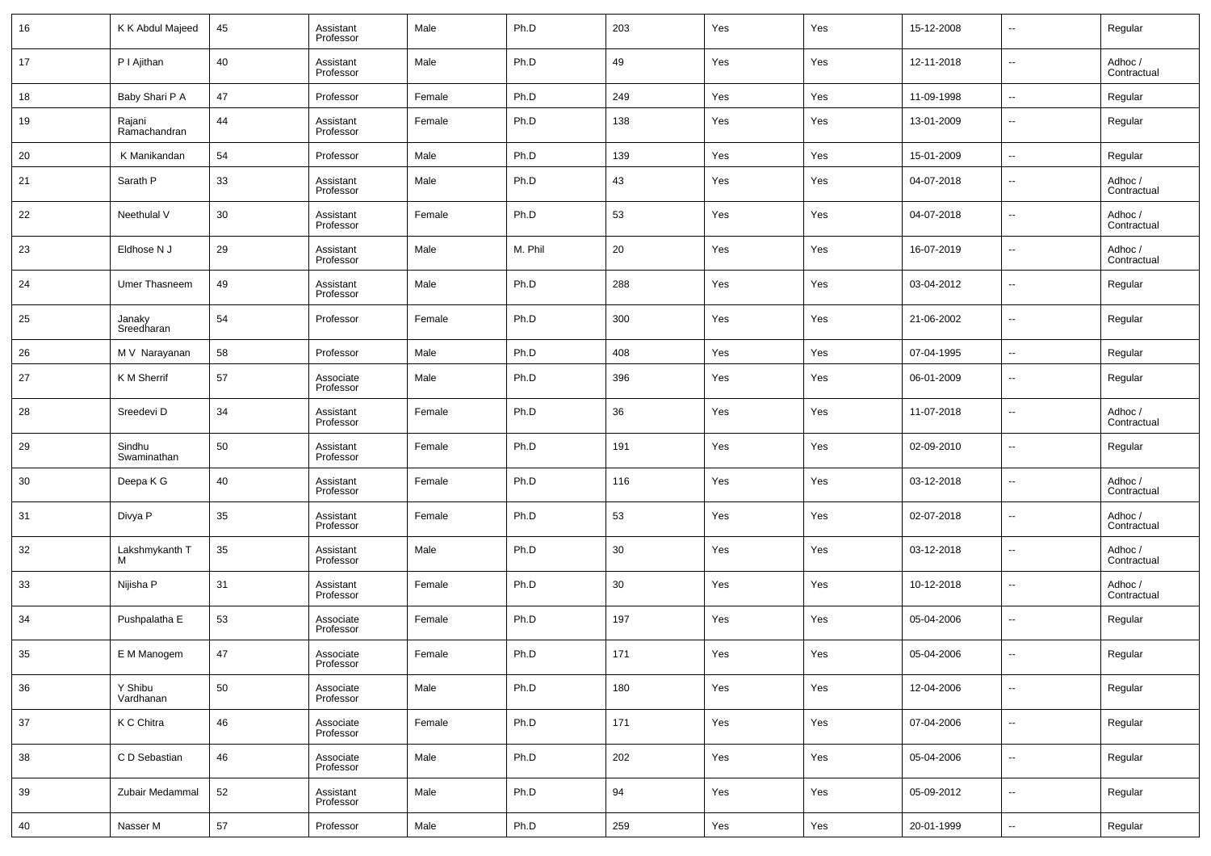| 16 | K K Abdul Majeed       | 45 | Assistant<br>Professor | Male   | Ph.D    | 203 | Yes | Yes | 15-12-2008 | $\overline{\phantom{a}}$ | Regular                |
|----|------------------------|----|------------------------|--------|---------|-----|-----|-----|------------|--------------------------|------------------------|
| 17 | PI Ajithan             | 40 | Assistant<br>Professor | Male   | Ph.D    | 49  | Yes | Yes | 12-11-2018 | $\overline{\phantom{a}}$ | Adhoc /<br>Contractual |
| 18 | Baby Shari P A         | 47 | Professor              | Female | Ph.D    | 249 | Yes | Yes | 11-09-1998 | $\overline{\phantom{a}}$ | Regular                |
| 19 | Rajani<br>Ramachandran | 44 | Assistant<br>Professor | Female | Ph.D    | 138 | Yes | Yes | 13-01-2009 | $\overline{\phantom{a}}$ | Regular                |
| 20 | K Manikandan           | 54 | Professor              | Male   | Ph.D    | 139 | Yes | Yes | 15-01-2009 | $\overline{\phantom{a}}$ | Regular                |
| 21 | Sarath P               | 33 | Assistant<br>Professor | Male   | Ph.D    | 43  | Yes | Yes | 04-07-2018 | $\overline{\phantom{a}}$ | Adhoc /<br>Contractual |
| 22 | Neethulal V            | 30 | Assistant<br>Professor | Female | Ph.D    | 53  | Yes | Yes | 04-07-2018 | $\overline{\phantom{a}}$ | Adhoc /<br>Contractual |
| 23 | Eldhose N J            | 29 | Assistant<br>Professor | Male   | M. Phil | 20  | Yes | Yes | 16-07-2019 | $\overline{\phantom{a}}$ | Adhoc /<br>Contractual |
| 24 | Umer Thasneem          | 49 | Assistant<br>Professor | Male   | Ph.D    | 288 | Yes | Yes | 03-04-2012 | $\overline{\phantom{a}}$ | Regular                |
| 25 | Janaky<br>Sreedharan   | 54 | Professor              | Female | Ph.D    | 300 | Yes | Yes | 21-06-2002 | $\overline{\phantom{a}}$ | Regular                |
| 26 | M V Narayanan          | 58 | Professor              | Male   | Ph.D    | 408 | Yes | Yes | 07-04-1995 | $\overline{\phantom{a}}$ | Regular                |
| 27 | K M Sherrif            | 57 | Associate<br>Professor | Male   | Ph.D    | 396 | Yes | Yes | 06-01-2009 | $\overline{\phantom{a}}$ | Regular                |
| 28 | Sreedevi D             | 34 | Assistant<br>Professor | Female | Ph.D    | 36  | Yes | Yes | 11-07-2018 | $\overline{\phantom{a}}$ | Adhoc /<br>Contractual |
| 29 | Sindhu<br>Swaminathan  | 50 | Assistant<br>Professor | Female | Ph.D    | 191 | Yes | Yes | 02-09-2010 | $\overline{\phantom{a}}$ | Regular                |
| 30 | Deepa K G              | 40 | Assistant<br>Professor | Female | Ph.D    | 116 | Yes | Yes | 03-12-2018 | $\overline{\phantom{a}}$ | Adhoc /<br>Contractual |
| 31 | Divya P                | 35 | Assistant<br>Professor | Female | Ph.D    | 53  | Yes | Yes | 02-07-2018 | $\overline{\phantom{a}}$ | Adhoc /<br>Contractual |
| 32 | Lakshmykanth T<br>м    | 35 | Assistant<br>Professor | Male   | Ph.D    | 30  | Yes | Yes | 03-12-2018 | $\overline{\phantom{a}}$ | Adhoc /<br>Contractual |
| 33 | Nijisha P              | 31 | Assistant<br>Professor | Female | Ph.D    | 30  | Yes | Yes | 10-12-2018 | $\sim$                   | Adhoc /<br>Contractual |
| 34 | Pushpalatha E          | 53 | Associate<br>Professor | Female | Ph.D    | 197 | Yes | Yes | 05-04-2006 | $\overline{\phantom{a}}$ | Regular                |
| 35 | E M Manogem            | 47 | Associate<br>Professor | Female | Ph.D    | 171 | Yes | Yes | 05-04-2006 | $\mathbf{u}$             | Regular                |
| 36 | Y Shibu<br>Vardhanan   | 50 | Associate<br>Professor | Male   | Ph.D    | 180 | Yes | Yes | 12-04-2006 | $\sim$                   | Regular                |
| 37 | K C Chitra             | 46 | Associate<br>Professor | Female | Ph.D    | 171 | Yes | Yes | 07-04-2006 | $\sim$                   | Regular                |
| 38 | C D Sebastian          | 46 | Associate<br>Professor | Male   | Ph.D    | 202 | Yes | Yes | 05-04-2006 | $\sim$                   | Regular                |
| 39 | Zubair Medammal        | 52 | Assistant<br>Professor | Male   | Ph.D    | 94  | Yes | Yes | 05-09-2012 | $\sim$                   | Regular                |
| 40 | Nasser M               | 57 | Professor              | Male   | Ph.D    | 259 | Yes | Yes | 20-01-1999 | $\sim$                   | Regular                |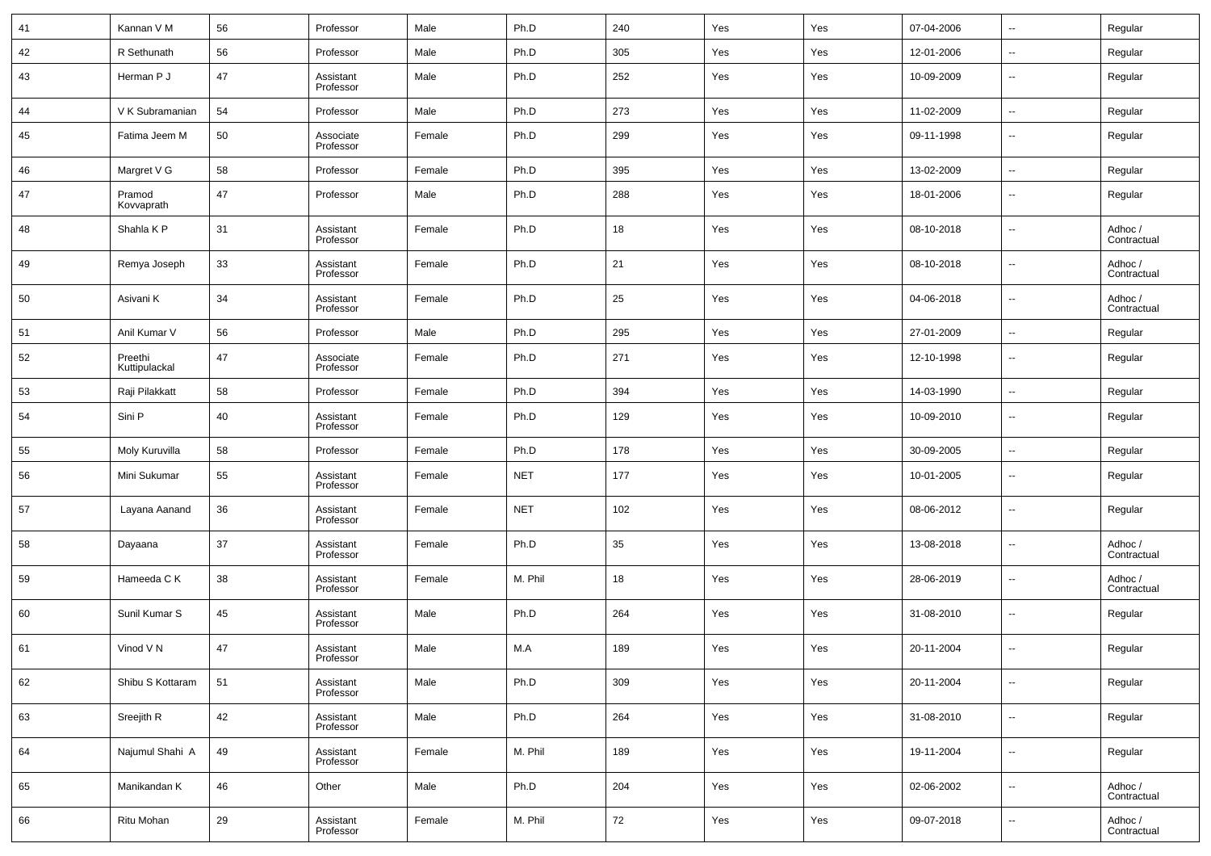| 41 | Kannan V M               | 56 | Professor              | Male   | Ph.D       | 240 | Yes | Yes | 07-04-2006 | $\sim$                   | Regular                |
|----|--------------------------|----|------------------------|--------|------------|-----|-----|-----|------------|--------------------------|------------------------|
| 42 | R Sethunath              | 56 | Professor              | Male   | Ph.D       | 305 | Yes | Yes | 12-01-2006 | $\sim$                   | Regular                |
| 43 | Herman P J               | 47 | Assistant<br>Professor | Male   | Ph.D       | 252 | Yes | Yes | 10-09-2009 | $\overline{\phantom{a}}$ | Regular                |
| 44 | V K Subramanian          | 54 | Professor              | Male   | Ph.D       | 273 | Yes | Yes | 11-02-2009 | $\overline{\phantom{a}}$ | Regular                |
| 45 | Fatima Jeem M            | 50 | Associate<br>Professor | Female | Ph.D       | 299 | Yes | Yes | 09-11-1998 | $\overline{\phantom{a}}$ | Regular                |
| 46 | Margret V G              | 58 | Professor              | Female | Ph.D       | 395 | Yes | Yes | 13-02-2009 | $\sim$                   | Regular                |
| 47 | Pramod<br>Kovvaprath     | 47 | Professor              | Male   | Ph.D       | 288 | Yes | Yes | 18-01-2006 | $\overline{\phantom{a}}$ | Regular                |
| 48 | Shahla K P               | 31 | Assistant<br>Professor | Female | Ph.D       | 18  | Yes | Yes | 08-10-2018 | $\overline{\phantom{a}}$ | Adhoc /<br>Contractual |
| 49 | Remya Joseph             | 33 | Assistant<br>Professor | Female | Ph.D       | 21  | Yes | Yes | 08-10-2018 | $\overline{\phantom{a}}$ | Adhoc /<br>Contractual |
| 50 | Asivani K                | 34 | Assistant<br>Professor | Female | Ph.D       | 25  | Yes | Yes | 04-06-2018 | $\overline{\phantom{a}}$ | Adhoc /<br>Contractual |
| 51 | Anil Kumar V             | 56 | Professor              | Male   | Ph.D       | 295 | Yes | Yes | 27-01-2009 | $\sim$                   | Regular                |
| 52 | Preethi<br>Kuttipulackal | 47 | Associate<br>Professor | Female | Ph.D       | 271 | Yes | Yes | 12-10-1998 | $\overline{\phantom{a}}$ | Regular                |
| 53 | Raji Pilakkatt           | 58 | Professor              | Female | Ph.D       | 394 | Yes | Yes | 14-03-1990 | $\sim$                   | Regular                |
| 54 | Sini P                   | 40 | Assistant<br>Professor | Female | Ph.D       | 129 | Yes | Yes | 10-09-2010 | $\overline{\phantom{a}}$ | Regular                |
| 55 | Moly Kuruvilla           | 58 | Professor              | Female | Ph.D       | 178 | Yes | Yes | 30-09-2005 | $\sim$                   | Regular                |
| 56 | Mini Sukumar             | 55 | Assistant<br>Professor | Female | <b>NET</b> | 177 | Yes | Yes | 10-01-2005 | $\overline{\phantom{a}}$ | Regular                |
| 57 | Layana Aanand            | 36 | Assistant<br>Professor | Female | <b>NET</b> | 102 | Yes | Yes | 08-06-2012 | $\overline{\phantom{a}}$ | Regular                |
| 58 | Dayaana                  | 37 | Assistant<br>Professor | Female | Ph.D       | 35  | Yes | Yes | 13-08-2018 | $\overline{\phantom{a}}$ | Adhoc /<br>Contractual |
| 59 | Hameeda C K              | 38 | Assistant<br>Professor | Female | M. Phil    | 18  | Yes | Yes | 28-06-2019 | $\overline{\phantom{a}}$ | Adhoc /<br>Contractual |
| 60 | Sunil Kumar S            | 45 | Assistant<br>Professor | Male   | Ph.D       | 264 | Yes | Yes | 31-08-2010 | $\overline{\phantom{a}}$ | Regular                |
| 61 | Vinod V N                | 47 | Assistant<br>Professor | Male   | M.A        | 189 | Yes | Yes | 20-11-2004 | $\overline{\phantom{a}}$ | Regular                |
| 62 | Shibu S Kottaram         | 51 | Assistant<br>Professor | Male   | Ph.D       | 309 | Yes | Yes | 20-11-2004 | $\overline{\phantom{a}}$ | Regular                |
| 63 | Sreejith R               | 42 | Assistant<br>Professor | Male   | Ph.D       | 264 | Yes | Yes | 31-08-2010 | $\overline{\phantom{a}}$ | Regular                |
| 64 | Najumul Shahi A          | 49 | Assistant<br>Professor | Female | M. Phil    | 189 | Yes | Yes | 19-11-2004 | $\overline{\phantom{a}}$ | Regular                |
| 65 | Manikandan K             | 46 | Other                  | Male   | Ph.D       | 204 | Yes | Yes | 02-06-2002 | $\overline{\phantom{a}}$ | Adhoc /<br>Contractual |
| 66 | Ritu Mohan               | 29 | Assistant<br>Professor | Female | M. Phil    | 72  | Yes | Yes | 09-07-2018 | $\overline{\phantom{a}}$ | Adhoc /<br>Contractual |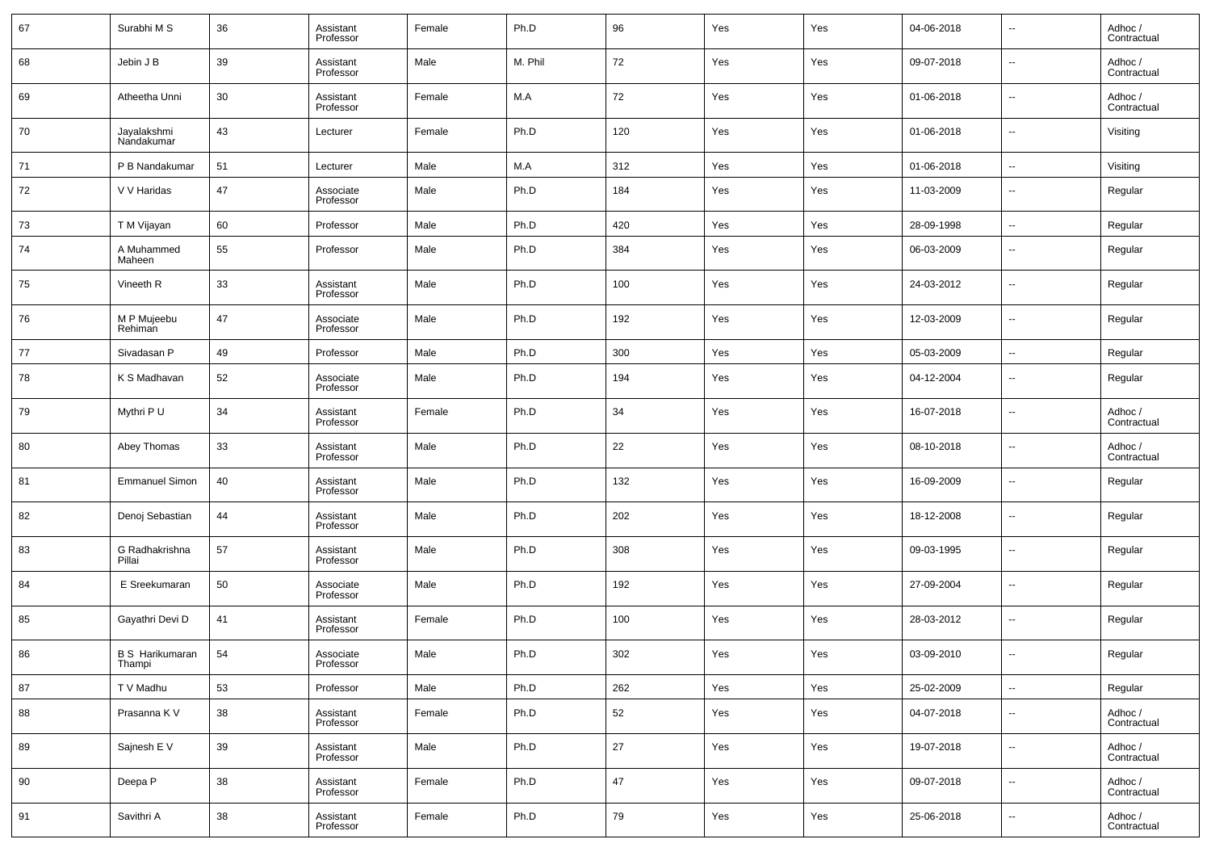| 67 | Surabhi M S                      | 36 | Assistant<br>Professor | Female | Ph.D    | 96  | Yes | Yes | 04-06-2018 | $\overline{\phantom{a}}$ | Adhoc /<br>Contractual |
|----|----------------------------------|----|------------------------|--------|---------|-----|-----|-----|------------|--------------------------|------------------------|
| 68 | Jebin J B                        | 39 | Assistant<br>Professor | Male   | M. Phil | 72  | Yes | Yes | 09-07-2018 | $\overline{\phantom{a}}$ | Adhoc /<br>Contractual |
| 69 | Atheetha Unni                    | 30 | Assistant<br>Professor | Female | M.A     | 72  | Yes | Yes | 01-06-2018 | $\overline{\phantom{a}}$ | Adhoc /<br>Contractual |
| 70 | Jayalakshmi<br>Nandakumar        | 43 | Lecturer               | Female | Ph.D    | 120 | Yes | Yes | 01-06-2018 | $\overline{\phantom{a}}$ | Visiting               |
| 71 | P B Nandakumar                   | 51 | Lecturer               | Male   | M.A     | 312 | Yes | Yes | 01-06-2018 | $\overline{\phantom{a}}$ | Visiting               |
| 72 | V V Haridas                      | 47 | Associate<br>Professor | Male   | Ph.D    | 184 | Yes | Yes | 11-03-2009 | $\overline{\phantom{a}}$ | Regular                |
| 73 | T M Vijayan                      | 60 | Professor              | Male   | Ph.D    | 420 | Yes | Yes | 28-09-1998 | $\sim$                   | Regular                |
| 74 | A Muhammed<br>Maheen             | 55 | Professor              | Male   | Ph.D    | 384 | Yes | Yes | 06-03-2009 | $\overline{\phantom{a}}$ | Regular                |
| 75 | Vineeth R                        | 33 | Assistant<br>Professor | Male   | Ph.D    | 100 | Yes | Yes | 24-03-2012 | $\overline{\phantom{a}}$ | Regular                |
| 76 | M P Mujeebu<br>Rehiman           | 47 | Associate<br>Professor | Male   | Ph.D    | 192 | Yes | Yes | 12-03-2009 | $\overline{\phantom{a}}$ | Regular                |
| 77 | Sivadasan P                      | 49 | Professor              | Male   | Ph.D    | 300 | Yes | Yes | 05-03-2009 | $\overline{\phantom{a}}$ | Regular                |
| 78 | K S Madhavan                     | 52 | Associate<br>Professor | Male   | Ph.D    | 194 | Yes | Yes | 04-12-2004 | $\overline{\phantom{a}}$ | Regular                |
| 79 | Mythri P U                       | 34 | Assistant<br>Professor | Female | Ph.D    | 34  | Yes | Yes | 16-07-2018 | $\sim$                   | Adhoc /<br>Contractual |
| 80 | Abey Thomas                      | 33 | Assistant<br>Professor | Male   | Ph.D    | 22  | Yes | Yes | 08-10-2018 | $\overline{\phantom{a}}$ | Adhoc /<br>Contractual |
| 81 | <b>Emmanuel Simon</b>            | 40 | Assistant<br>Professor | Male   | Ph.D    | 132 | Yes | Yes | 16-09-2009 | $\overline{\phantom{a}}$ | Regular                |
| 82 | Denoj Sebastian                  | 44 | Assistant<br>Professor | Male   | Ph.D    | 202 | Yes | Yes | 18-12-2008 | $\overline{\phantom{a}}$ | Regular                |
| 83 | G Radhakrishna<br>Pillai         | 57 | Assistant<br>Professor | Male   | Ph.D    | 308 | Yes | Yes | 09-03-1995 | $\overline{\phantom{a}}$ | Regular                |
| 84 | E Sreekumaran                    | 50 | Associate<br>Professor | Male   | Ph.D    | 192 | Yes | Yes | 27-09-2004 | $\overline{\phantom{a}}$ | Regular                |
| 85 | Gayathri Devi D                  | 41 | Assistant<br>Professor | Female | Ph.D    | 100 | Yes | Yes | 28-03-2012 | $\overline{\phantom{a}}$ | Regular                |
| 86 | <b>B S Harikumaran</b><br>Thampi | 54 | Associate<br>Professor | Male   | Ph.D    | 302 | Yes | Yes | 03-09-2010 | $\sim$                   | Regular                |
| 87 | T V Madhu                        | 53 | Professor              | Male   | Ph.D    | 262 | Yes | Yes | 25-02-2009 | $\overline{\phantom{a}}$ | Regular                |
| 88 | Prasanna K V                     | 38 | Assistant<br>Professor | Female | Ph.D    | 52  | Yes | Yes | 04-07-2018 | $\overline{\phantom{a}}$ | Adhoc /<br>Contractual |
| 89 | Sajnesh E V                      | 39 | Assistant<br>Professor | Male   | Ph.D    | 27  | Yes | Yes | 19-07-2018 | $\overline{\phantom{a}}$ | Adhoc /<br>Contractual |
| 90 | Deepa P                          | 38 | Assistant<br>Professor | Female | Ph.D    | 47  | Yes | Yes | 09-07-2018 | $\sim$                   | Adhoc /<br>Contractual |
| 91 | Savithri A                       | 38 | Assistant<br>Professor | Female | Ph.D    | 79  | Yes | Yes | 25-06-2018 | $\overline{\phantom{a}}$ | Adhoc /<br>Contractual |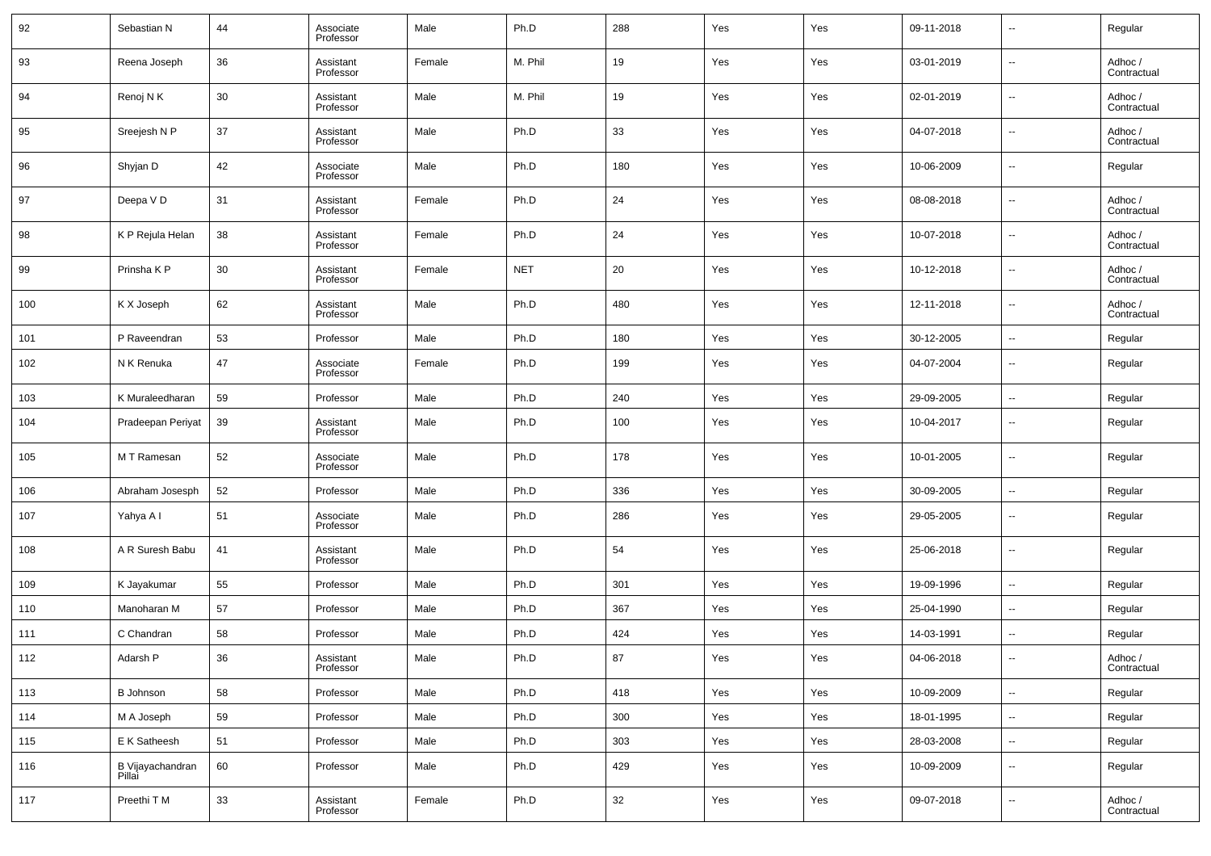| 92  | Sebastian N                | 44 | Associate<br>Professor | Male   | Ph.D       | 288 | Yes | Yes | 09-11-2018 | $\overline{\phantom{a}}$ | Regular                |
|-----|----------------------------|----|------------------------|--------|------------|-----|-----|-----|------------|--------------------------|------------------------|
| 93  | Reena Joseph               | 36 | Assistant<br>Professor | Female | M. Phil    | 19  | Yes | Yes | 03-01-2019 | $\overline{\phantom{a}}$ | Adhoc /<br>Contractual |
| 94  | Renoj N K                  | 30 | Assistant<br>Professor | Male   | M. Phil    | 19  | Yes | Yes | 02-01-2019 | $\overline{\phantom{a}}$ | Adhoc /<br>Contractual |
| 95  | Sreejesh N P               | 37 | Assistant<br>Professor | Male   | Ph.D       | 33  | Yes | Yes | 04-07-2018 | $\overline{\phantom{a}}$ | Adhoc /<br>Contractual |
| 96  | Shyjan D                   | 42 | Associate<br>Professor | Male   | Ph.D       | 180 | Yes | Yes | 10-06-2009 | $\overline{\phantom{a}}$ | Regular                |
| 97  | Deepa VD                   | 31 | Assistant<br>Professor | Female | Ph.D       | 24  | Yes | Yes | 08-08-2018 | $\overline{\phantom{a}}$ | Adhoc /<br>Contractual |
| 98  | K P Rejula Helan           | 38 | Assistant<br>Professor | Female | Ph.D       | 24  | Yes | Yes | 10-07-2018 | $\overline{\phantom{a}}$ | Adhoc /<br>Contractual |
| 99  | Prinsha K P                | 30 | Assistant<br>Professor | Female | <b>NET</b> | 20  | Yes | Yes | 10-12-2018 | $\overline{\phantom{a}}$ | Adhoc /<br>Contractual |
| 100 | K X Joseph                 | 62 | Assistant<br>Professor | Male   | Ph.D       | 480 | Yes | Yes | 12-11-2018 | $\overline{\phantom{a}}$ | Adhoc /<br>Contractual |
| 101 | P Raveendran               | 53 | Professor              | Male   | Ph.D       | 180 | Yes | Yes | 30-12-2005 | $\overline{\phantom{a}}$ | Regular                |
| 102 | N K Renuka                 | 47 | Associate<br>Professor | Female | Ph.D       | 199 | Yes | Yes | 04-07-2004 | $\overline{\phantom{a}}$ | Regular                |
| 103 | K Muraleedharan            | 59 | Professor              | Male   | Ph.D       | 240 | Yes | Yes | 29-09-2005 | $\overline{\phantom{a}}$ | Regular                |
| 104 | Pradeepan Periyat          | 39 | Assistant<br>Professor | Male   | Ph.D       | 100 | Yes | Yes | 10-04-2017 | $\overline{\phantom{a}}$ | Regular                |
| 105 | M T Ramesan                | 52 | Associate<br>Professor | Male   | Ph.D       | 178 | Yes | Yes | 10-01-2005 | $\overline{\phantom{a}}$ | Regular                |
| 106 | Abraham Josesph            | 52 | Professor              | Male   | Ph.D       | 336 | Yes | Yes | 30-09-2005 | $\overline{\phantom{a}}$ | Regular                |
| 107 | Yahya A I                  | 51 | Associate<br>Professor | Male   | Ph.D       | 286 | Yes | Yes | 29-05-2005 | $\overline{\phantom{a}}$ | Regular                |
| 108 | A R Suresh Babu            | 41 | Assistant<br>Professor | Male   | Ph.D       | 54  | Yes | Yes | 25-06-2018 | $\overline{\phantom{a}}$ | Regular                |
| 109 | K Jayakumar                | 55 | Professor              | Male   | Ph.D       | 301 | Yes | Yes | 19-09-1996 | $\overline{\phantom{a}}$ | Regular                |
| 110 | Manoharan M                | 57 | Professor              | Male   | Ph.D       | 367 | Yes | Yes | 25-04-1990 | $\overline{\phantom{a}}$ | Regular                |
| 111 | C Chandran                 | 58 | Professor              | Male   | Ph.D       | 424 | Yes | Yes | 14-03-1991 | $\overline{\phantom{a}}$ | Regular                |
| 112 | Adarsh P                   | 36 | Assistant<br>Professor | Male   | Ph.D       | 87  | Yes | Yes | 04-06-2018 | $\overline{\phantom{a}}$ | Adhoc /<br>Contractual |
| 113 | <b>B</b> Johnson           | 58 | Professor              | Male   | Ph.D       | 418 | Yes | Yes | 10-09-2009 | $\overline{\phantom{a}}$ | Regular                |
| 114 | M A Joseph                 | 59 | Professor              | Male   | Ph.D       | 300 | Yes | Yes | 18-01-1995 | $\sim$                   | Regular                |
| 115 | E K Satheesh               | 51 | Professor              | Male   | Ph.D       | 303 | Yes | Yes | 28-03-2008 | $\overline{\phantom{a}}$ | Regular                |
| 116 | B Vijayachandran<br>Pillai | 60 | Professor              | Male   | Ph.D       | 429 | Yes | Yes | 10-09-2009 | $\overline{\phantom{a}}$ | Regular                |
| 117 | Preethi T M                | 33 | Assistant<br>Professor | Female | Ph.D       | 32  | Yes | Yes | 09-07-2018 | $\overline{\phantom{a}}$ | Adhoc /<br>Contractual |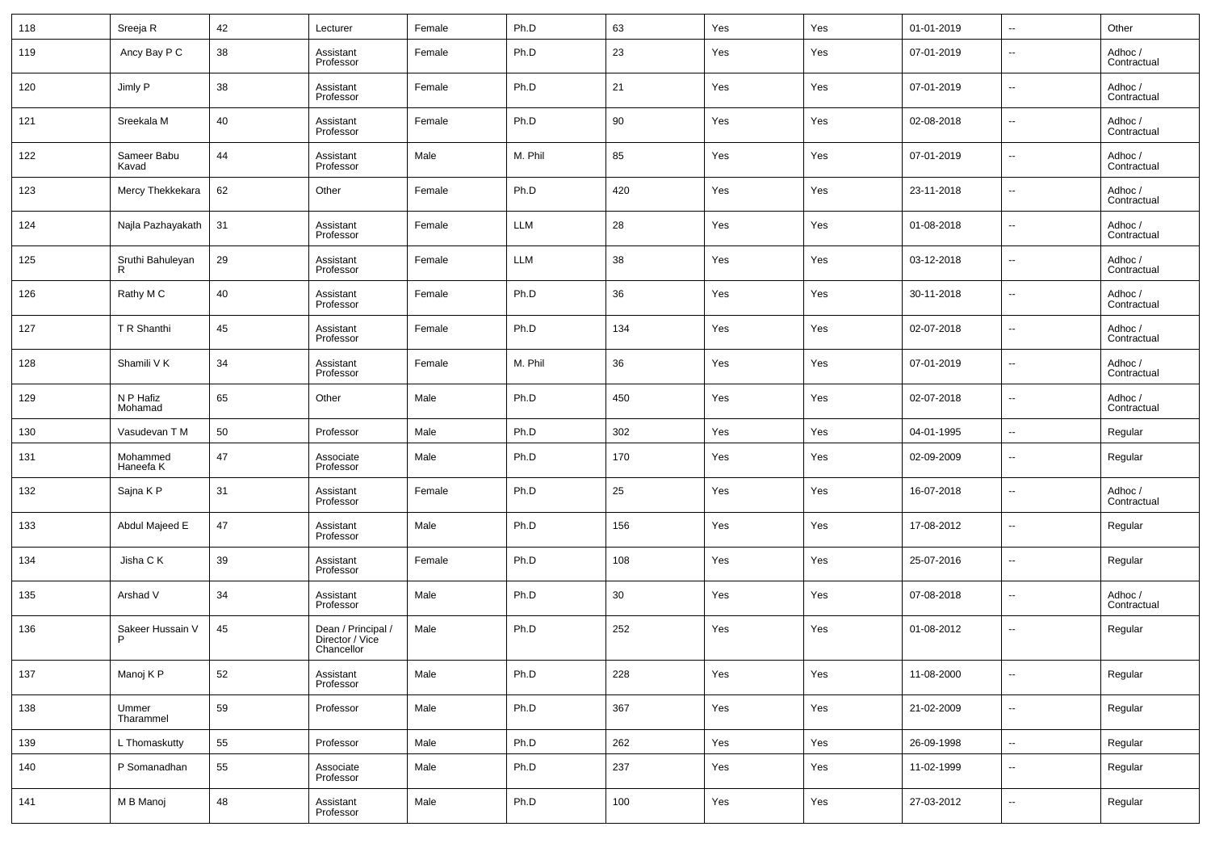| 118 | Sreeja R              | 42 | Lecturer                                            | Female | Ph.D       | 63  | Yes | Yes | 01-01-2019 | $\overline{\phantom{a}}$ | Other                  |
|-----|-----------------------|----|-----------------------------------------------------|--------|------------|-----|-----|-----|------------|--------------------------|------------------------|
| 119 | Ancy Bay P C          | 38 | Assistant<br>Professor                              | Female | Ph.D       | 23  | Yes | Yes | 07-01-2019 | $\overline{\phantom{a}}$ | Adhoc /<br>Contractual |
| 120 | Jimly P               | 38 | Assistant<br>Professor                              | Female | Ph.D       | 21  | Yes | Yes | 07-01-2019 | $\overline{\phantom{a}}$ | Adhoc /<br>Contractual |
| 121 | Sreekala M            | 40 | Assistant<br>Professor                              | Female | Ph.D       | 90  | Yes | Yes | 02-08-2018 | $\overline{\phantom{a}}$ | Adhoc /<br>Contractual |
| 122 | Sameer Babu<br>Kavad  | 44 | Assistant<br>Professor                              | Male   | M. Phil    | 85  | Yes | Yes | 07-01-2019 | $\overline{\phantom{a}}$ | Adhoc /<br>Contractual |
| 123 | Mercy Thekkekara      | 62 | Other                                               | Female | Ph.D       | 420 | Yes | Yes | 23-11-2018 | $\overline{\phantom{a}}$ | Adhoc /<br>Contractual |
| 124 | Najla Pazhayakath     | 31 | Assistant<br>Professor                              | Female | <b>LLM</b> | 28  | Yes | Yes | 01-08-2018 | $\overline{\phantom{a}}$ | Adhoc /<br>Contractual |
| 125 | Sruthi Bahuleyan<br>R | 29 | Assistant<br>Professor                              | Female | <b>LLM</b> | 38  | Yes | Yes | 03-12-2018 | $\overline{\phantom{a}}$ | Adhoc /<br>Contractual |
| 126 | Rathy M C             | 40 | Assistant<br>Professor                              | Female | Ph.D       | 36  | Yes | Yes | 30-11-2018 | $\overline{\phantom{a}}$ | Adhoc /<br>Contractual |
| 127 | T R Shanthi           | 45 | Assistant<br>Professor                              | Female | Ph.D       | 134 | Yes | Yes | 02-07-2018 | $\overline{\phantom{a}}$ | Adhoc /<br>Contractual |
| 128 | Shamili V K           | 34 | Assistant<br>Professor                              | Female | M. Phil    | 36  | Yes | Yes | 07-01-2019 | $\overline{\phantom{a}}$ | Adhoc /<br>Contractual |
| 129 | N P Hafiz<br>Mohamad  | 65 | Other                                               | Male   | Ph.D       | 450 | Yes | Yes | 02-07-2018 | $\overline{\phantom{a}}$ | Adhoc /<br>Contractual |
| 130 | Vasudevan T M         | 50 | Professor                                           | Male   | Ph.D       | 302 | Yes | Yes | 04-01-1995 | $\overline{\phantom{a}}$ | Regular                |
| 131 | Mohammed<br>Haneefa K | 47 | Associate<br>Professor                              | Male   | Ph.D       | 170 | Yes | Yes | 02-09-2009 | $\overline{\phantom{a}}$ | Regular                |
| 132 | Sajna K P             | 31 | Assistant<br>Professor                              | Female | Ph.D       | 25  | Yes | Yes | 16-07-2018 | $\ddotsc$                | Adhoc /<br>Contractual |
| 133 | Abdul Majeed E        | 47 | Assistant<br>Professor                              | Male   | Ph.D       | 156 | Yes | Yes | 17-08-2012 | $\overline{\phantom{a}}$ | Regular                |
| 134 | Jisha C K             | 39 | Assistant<br>Professor                              | Female | Ph.D       | 108 | Yes | Yes | 25-07-2016 | $\overline{\phantom{a}}$ | Regular                |
| 135 | Arshad V              | 34 | Assistant<br>Professor                              | Male   | Ph.D       | 30  | Yes | Yes | 07-08-2018 | --                       | Adhoc /<br>Contractual |
| 136 | Sakeer Hussain V      | 45 | Dean / Principal /<br>Director / Vice<br>Chancellor | Male   | Ph.D       | 252 | Yes | Yes | 01-08-2012 | $\overline{\phantom{a}}$ | Regular                |
| 137 | Manoj K P             | 52 | Assistant<br>Professor                              | Male   | Ph.D       | 228 | Yes | Yes | 11-08-2000 | $\overline{\phantom{a}}$ | Regular                |
| 138 | Ummer<br>Tharammel    | 59 | Professor                                           | Male   | Ph.D       | 367 | Yes | Yes | 21-02-2009 | ۰.                       | Regular                |
| 139 | L Thomaskutty         | 55 | Professor                                           | Male   | Ph.D       | 262 | Yes | Yes | 26-09-1998 | ۰.                       | Regular                |
| 140 | P Somanadhan          | 55 | Associate<br>Professor                              | Male   | Ph.D       | 237 | Yes | Yes | 11-02-1999 | $\overline{\phantom{a}}$ | Regular                |
| 141 | M B Manoj             | 48 | Assistant<br>Professor                              | Male   | Ph.D       | 100 | Yes | Yes | 27-03-2012 | ۰.                       | Regular                |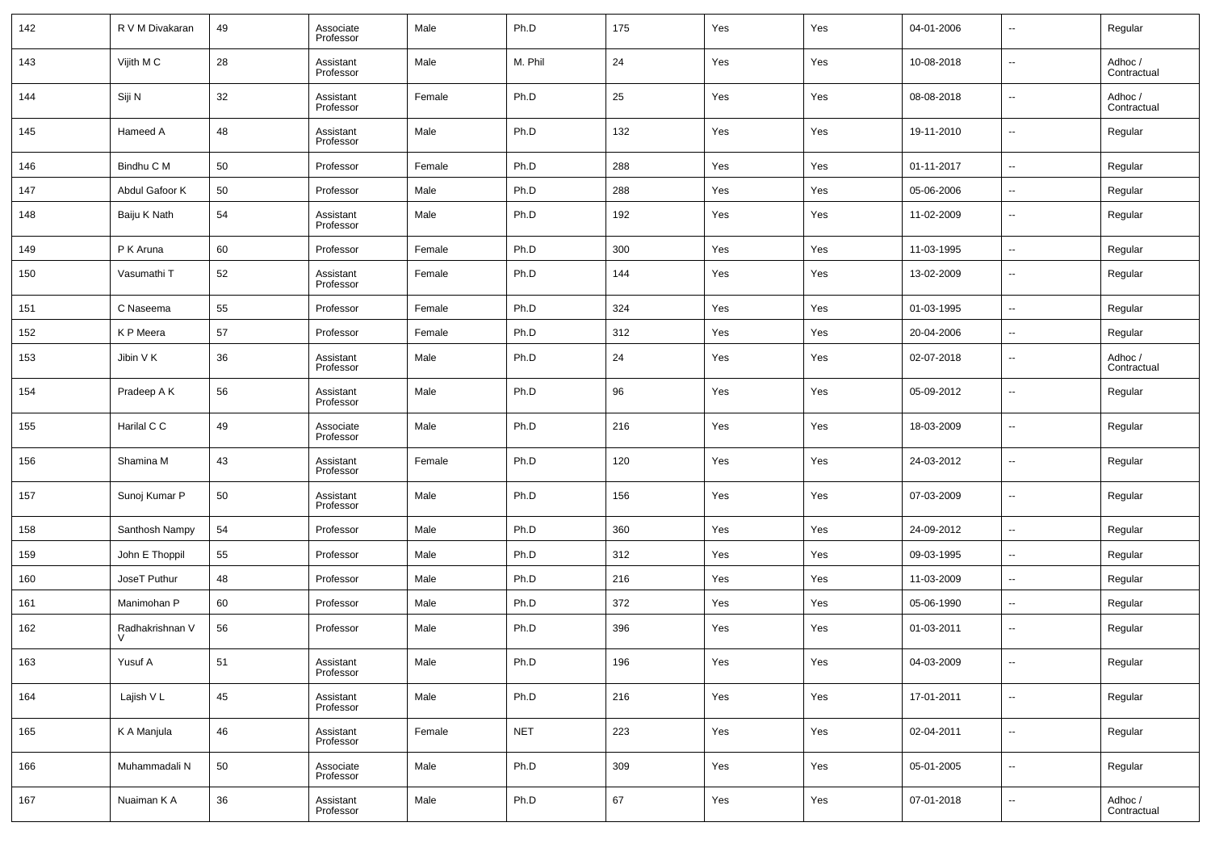| 142 | R V M Divakaran           | 49 | Associate<br>Professor | Male   | Ph.D       | 175 | Yes | Yes | 04-01-2006 | $\overline{\phantom{a}}$ | Regular                |
|-----|---------------------------|----|------------------------|--------|------------|-----|-----|-----|------------|--------------------------|------------------------|
| 143 | Vijith M C                | 28 | Assistant<br>Professor | Male   | M. Phil    | 24  | Yes | Yes | 10-08-2018 | $\sim$                   | Adhoc /<br>Contractual |
| 144 | Siji N                    | 32 | Assistant<br>Professor | Female | Ph.D       | 25  | Yes | Yes | 08-08-2018 | $\sim$                   | Adhoc /<br>Contractual |
| 145 | Hameed A                  | 48 | Assistant<br>Professor | Male   | Ph.D       | 132 | Yes | Yes | 19-11-2010 | $\overline{\phantom{a}}$ | Regular                |
| 146 | Bindhu C M                | 50 | Professor              | Female | Ph.D       | 288 | Yes | Yes | 01-11-2017 | $\overline{\phantom{a}}$ | Regular                |
| 147 | Abdul Gafoor K            | 50 | Professor              | Male   | Ph.D       | 288 | Yes | Yes | 05-06-2006 | $\sim$                   | Regular                |
| 148 | Baiju K Nath              | 54 | Assistant<br>Professor | Male   | Ph.D       | 192 | Yes | Yes | 11-02-2009 | $\overline{\phantom{a}}$ | Regular                |
| 149 | P K Aruna                 | 60 | Professor              | Female | Ph.D       | 300 | Yes | Yes | 11-03-1995 | $\sim$                   | Regular                |
| 150 | Vasumathi T               | 52 | Assistant<br>Professor | Female | Ph.D       | 144 | Yes | Yes | 13-02-2009 | $\sim$                   | Regular                |
| 151 | C Naseema                 | 55 | Professor              | Female | Ph.D       | 324 | Yes | Yes | 01-03-1995 | $\ddotsc$                | Regular                |
| 152 | K P Meera                 | 57 | Professor              | Female | Ph.D       | 312 | Yes | Yes | 20-04-2006 | $\overline{\phantom{a}}$ | Regular                |
| 153 | Jibin V K                 | 36 | Assistant<br>Professor | Male   | Ph.D       | 24  | Yes | Yes | 02-07-2018 | $\overline{\phantom{a}}$ | Adhoc /<br>Contractual |
| 154 | Pradeep A K               | 56 | Assistant<br>Professor | Male   | Ph.D       | 96  | Yes | Yes | 05-09-2012 | $\sim$                   | Regular                |
| 155 | Harilal C C               | 49 | Associate<br>Professor | Male   | Ph.D       | 216 | Yes | Yes | 18-03-2009 | --                       | Regular                |
| 156 | Shamina M                 | 43 | Assistant<br>Professor | Female | Ph.D       | 120 | Yes | Yes | 24-03-2012 | $\ddotsc$                | Regular                |
| 157 | Sunoj Kumar P             | 50 | Assistant<br>Professor | Male   | Ph.D       | 156 | Yes | Yes | 07-03-2009 | $\sim$                   | Regular                |
| 158 | Santhosh Nampy            | 54 | Professor              | Male   | Ph.D       | 360 | Yes | Yes | 24-09-2012 | $\overline{\phantom{a}}$ | Regular                |
| 159 | John E Thoppil            | 55 | Professor              | Male   | Ph.D       | 312 | Yes | Yes | 09-03-1995 | $\overline{\phantom{a}}$ | Regular                |
| 160 | JoseT Puthur              | 48 | Professor              | Male   | Ph.D       | 216 | Yes | Yes | 11-03-2009 | --                       | Regular                |
| 161 | Manimohan P               | 60 | Professor              | Male   | Ph.D       | 372 | Yes | Yes | 05-06-1990 | --                       | Regular                |
| 162 | Radhakrishnan V<br>$\vee$ | 56 | Professor              | Male   | Ph.D       | 396 | Yes | Yes | 01-03-2011 | $\sim$                   | Regular                |
| 163 | Yusuf A                   | 51 | Assistant<br>Professor | Male   | Ph.D       | 196 | Yes | Yes | 04-03-2009 | $\sim$                   | Regular                |
| 164 | Lajish V L                | 45 | Assistant<br>Professor | Male   | Ph.D       | 216 | Yes | Yes | 17-01-2011 | $\overline{\phantom{a}}$ | Regular                |
| 165 | K A Manjula               | 46 | Assistant<br>Professor | Female | <b>NET</b> | 223 | Yes | Yes | 02-04-2011 | $\ddotsc$                | Regular                |
| 166 | Muhammadali N             | 50 | Associate<br>Professor | Male   | Ph.D       | 309 | Yes | Yes | 05-01-2005 | $\ddotsc$                | Regular                |
| 167 | Nuaiman K A               | 36 | Assistant<br>Professor | Male   | Ph.D       | 67  | Yes | Yes | 07-01-2018 | $\sim$                   | Adhoc /<br>Contractual |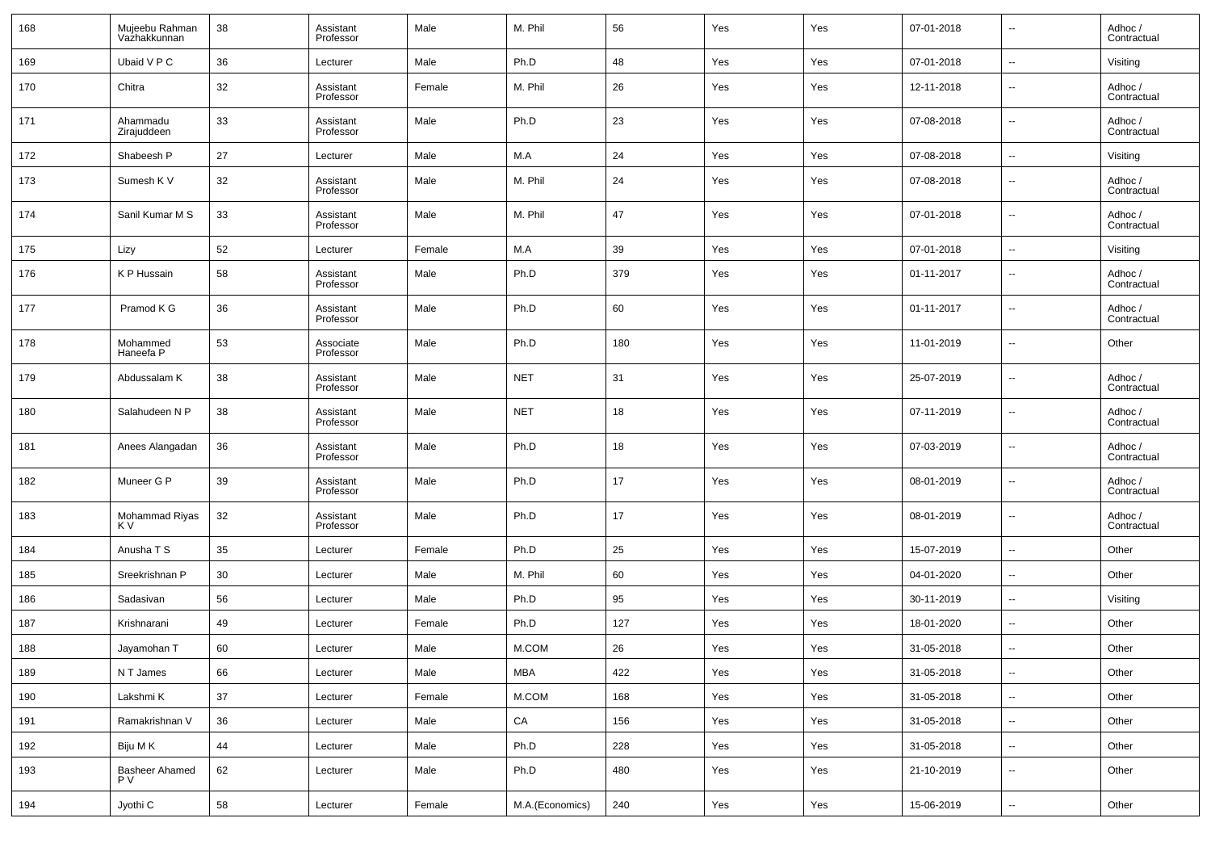| 168 | Mujeebu Rahman<br>Vaźhakkunnan | 38 | Assistant<br>Professor | Male   | M. Phil         | 56  | Yes | Yes | 07-01-2018 | $\overline{\phantom{a}}$     | Adhoc /<br>Contractual |
|-----|--------------------------------|----|------------------------|--------|-----------------|-----|-----|-----|------------|------------------------------|------------------------|
| 169 | Ubaid V P C                    | 36 | Lecturer               | Male   | Ph.D            | 48  | Yes | Yes | 07-01-2018 | $\overline{\phantom{a}}$     | Visiting               |
| 170 | Chitra                         | 32 | Assistant<br>Professor | Female | M. Phil         | 26  | Yes | Yes | 12-11-2018 | $\overline{\phantom{a}}$     | Adhoc /<br>Contractual |
| 171 | Ahammadu<br>Zirajuddeen        | 33 | Assistant<br>Professor | Male   | Ph.D            | 23  | Yes | Yes | 07-08-2018 | $\overline{\phantom{a}}$     | Adhoc /<br>Contractual |
| 172 | Shabeesh P                     | 27 | Lecturer               | Male   | M.A             | 24  | Yes | Yes | 07-08-2018 | $\overline{\phantom{a}}$     | Visiting               |
| 173 | Sumesh K V                     | 32 | Assistant<br>Professor | Male   | M. Phil         | 24  | Yes | Yes | 07-08-2018 | $\overline{\phantom{a}}$     | Adhoc /<br>Contractual |
| 174 | Sanil Kumar M S                | 33 | Assistant<br>Professor | Male   | M. Phil         | 47  | Yes | Yes | 07-01-2018 | $\overline{\phantom{a}}$     | Adhoc /<br>Contractual |
| 175 | Lizy                           | 52 | Lecturer               | Female | M.A             | 39  | Yes | Yes | 07-01-2018 | $\overline{\phantom{a}}$     | Visiting               |
| 176 | K P Hussain                    | 58 | Assistant<br>Professor | Male   | Ph.D            | 379 | Yes | Yes | 01-11-2017 | $\overline{\phantom{a}}$     | Adhoc /<br>Contractual |
| 177 | Pramod K G                     | 36 | Assistant<br>Professor | Male   | Ph.D            | 60  | Yes | Yes | 01-11-2017 | $\overline{\phantom{a}}$     | Adhoc /<br>Contractual |
| 178 | Mohammed<br>Haneefa P          | 53 | Associate<br>Professor | Male   | Ph.D            | 180 | Yes | Yes | 11-01-2019 | $\overline{\phantom{a}}$     | Other                  |
| 179 | Abdussalam K                   | 38 | Assistant<br>Professor | Male   | <b>NET</b>      | 31  | Yes | Yes | 25-07-2019 | $\sim$                       | Adhoc /<br>Contractual |
| 180 | Salahudeen N P                 | 38 | Assistant<br>Professor | Male   | <b>NET</b>      | 18  | Yes | Yes | 07-11-2019 | $\overline{\phantom{a}}$     | Adhoc /<br>Contractual |
| 181 | Anees Alangadan                | 36 | Assistant<br>Professor | Male   | Ph.D            | 18  | Yes | Yes | 07-03-2019 | $\overline{\phantom{a}}$     | Adhoc /<br>Contractual |
| 182 | Muneer G P                     | 39 | Assistant<br>Professor | Male   | Ph.D            | 17  | Yes | Yes | 08-01-2019 | $\overline{\phantom{a}}$     | Adhoc /<br>Contractual |
| 183 | Mohammad Riyas<br>K V          | 32 | Assistant<br>Professor | Male   | Ph.D            | 17  | Yes | Yes | 08-01-2019 | $\overline{\phantom{a}}$     | Adhoc /<br>Contractual |
| 184 | Anusha T S                     | 35 | Lecturer               | Female | Ph.D            | 25  | Yes | Yes | 15-07-2019 | $\overline{\phantom{a}}$     | Other                  |
| 185 | Sreekrishnan P                 | 30 | Lecturer               | Male   | M. Phil         | 60  | Yes | Yes | 04-01-2020 | $\overline{\phantom{a}}$     | Other                  |
| 186 | Sadasivan                      | 56 | Lecturer               | Male   | Ph.D            | 95  | Yes | Yes | 30-11-2019 | $\overline{\phantom{a}}$     | Visiting               |
| 187 | Krishnarani                    | 49 | Lecturer               | Female | Ph.D            | 127 | Yes | Yes | 18-01-2020 | $\overline{\phantom{a}}$     | Other                  |
| 188 | Jayamohan T                    | 60 | Lecturer               | Male   | M.COM           | 26  | Yes | Yes | 31-05-2018 | $\overline{\phantom{a}}$     | Other                  |
| 189 | N T James                      | 66 | Lecturer               | Male   | MBA             | 422 | Yes | Yes | 31-05-2018 | $\overline{\phantom{a}}$     | Other                  |
| 190 | Lakshmi K                      | 37 | Lecturer               | Female | M.COM           | 168 | Yes | Yes | 31-05-2018 | $\overline{\phantom{a}}$     | Other                  |
| 191 | Ramakrishnan V                 | 36 | Lecturer               | Male   | ${\sf CA}$      | 156 | Yes | Yes | 31-05-2018 | $\overline{\phantom{a}}$     | Other                  |
| 192 | Biju M K                       | 44 | Lecturer               | Male   | Ph.D            | 228 | Yes | Yes | 31-05-2018 | $\overline{\phantom{a}}$     | Other                  |
| 193 | Basheer Ahamed<br>P V          | 62 | Lecturer               | Male   | Ph.D            | 480 | Yes | Yes | 21-10-2019 | $\overline{\phantom{a}}$     | Other                  |
| 194 | Jyothi C                       | 58 | Lecturer               | Female | M.A.(Economics) | 240 | Yes | Yes | 15-06-2019 | $\qquad \qquad \blacksquare$ | Other                  |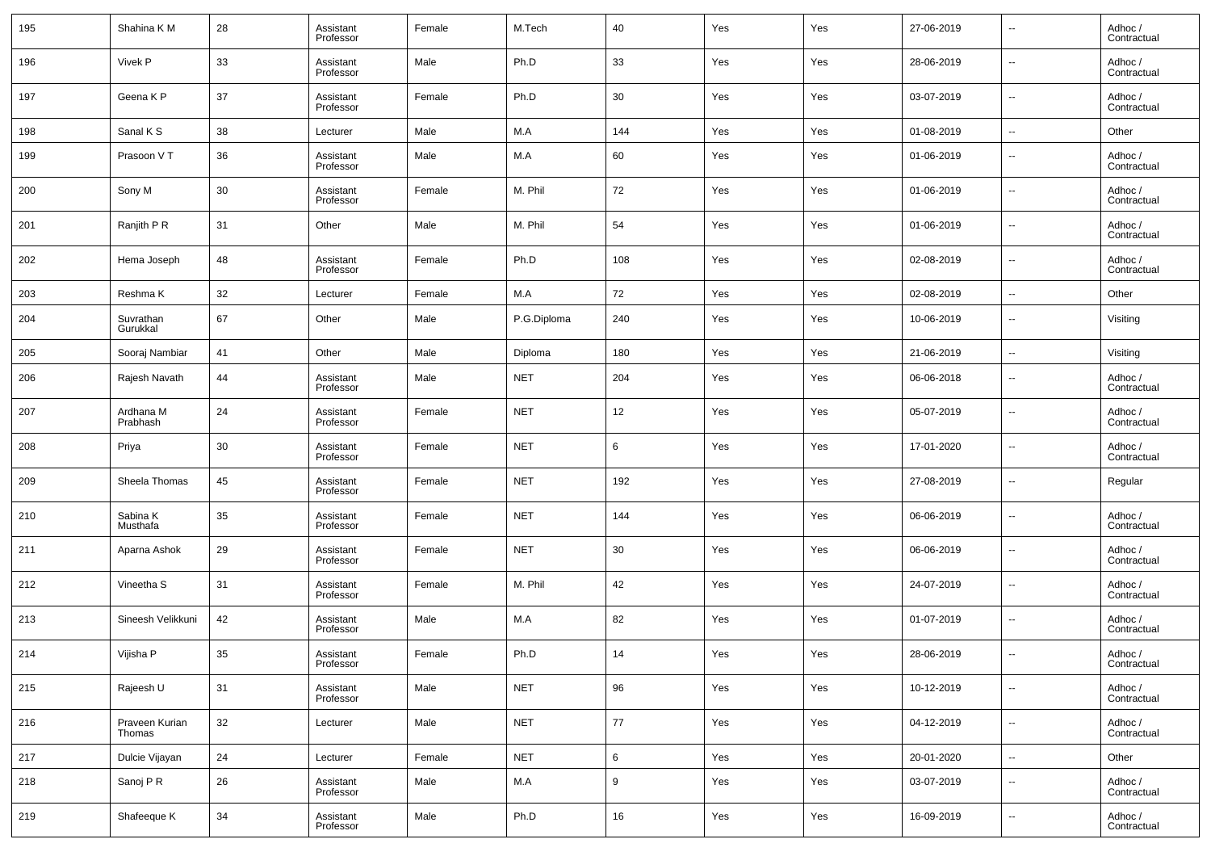| 195 | Shahina K M              | 28 | Assistant<br>Professor | Female | M.Tech      | 40  | Yes | Yes | 27-06-2019 | $\overline{\phantom{a}}$ | Adhoc /<br>Contractual |
|-----|--------------------------|----|------------------------|--------|-------------|-----|-----|-----|------------|--------------------------|------------------------|
| 196 | Vivek P                  | 33 | Assistant<br>Professor | Male   | Ph.D        | 33  | Yes | Yes | 28-06-2019 | $\overline{\phantom{a}}$ | Adhoc /<br>Contractual |
| 197 | Geena K P                | 37 | Assistant<br>Professor | Female | Ph.D        | 30  | Yes | Yes | 03-07-2019 | $\overline{\phantom{a}}$ | Adhoc /<br>Contractual |
| 198 | Sanal K S                | 38 | Lecturer               | Male   | M.A         | 144 | Yes | Yes | 01-08-2019 | $\overline{\phantom{a}}$ | Other                  |
| 199 | Prasoon VT               | 36 | Assistant<br>Professor | Male   | M.A         | 60  | Yes | Yes | 01-06-2019 | $\overline{\phantom{a}}$ | Adhoc /<br>Contractual |
| 200 | Sony M                   | 30 | Assistant<br>Professor | Female | M. Phil     | 72  | Yes | Yes | 01-06-2019 | $\overline{\phantom{a}}$ | Adhoc /<br>Contractual |
| 201 | Ranjith P R              | 31 | Other                  | Male   | M. Phil     | 54  | Yes | Yes | 01-06-2019 | $\overline{\phantom{a}}$ | Adhoc /<br>Contractual |
| 202 | Hema Joseph              | 48 | Assistant<br>Professor | Female | Ph.D        | 108 | Yes | Yes | 02-08-2019 | $\overline{\phantom{a}}$ | Adhoc /<br>Contractual |
| 203 | Reshma K                 | 32 | Lecturer               | Female | M.A         | 72  | Yes | Yes | 02-08-2019 | $\overline{\phantom{a}}$ | Other                  |
| 204 | Suvrathan<br>Gurukkal    | 67 | Other                  | Male   | P.G.Diploma | 240 | Yes | Yes | 10-06-2019 | $\overline{\phantom{a}}$ | Visiting               |
| 205 | Sooraj Nambiar           | 41 | Other                  | Male   | Diploma     | 180 | Yes | Yes | 21-06-2019 | $\overline{\phantom{a}}$ | Visiting               |
| 206 | Rajesh Navath            | 44 | Assistant<br>Professor | Male   | <b>NET</b>  | 204 | Yes | Yes | 06-06-2018 | $\overline{\phantom{a}}$ | Adhoc /<br>Contractual |
| 207 | Ardhana M<br>Prabhash    | 24 | Assistant<br>Professor | Female | <b>NET</b>  | 12  | Yes | Yes | 05-07-2019 | $\overline{\phantom{a}}$ | Adhoc /<br>Contractual |
| 208 | Priya                    | 30 | Assistant<br>Professor | Female | <b>NET</b>  | 6   | Yes | Yes | 17-01-2020 | --                       | Adhoc /<br>Contractual |
| 209 | Sheela Thomas            | 45 | Assistant<br>Professor | Female | <b>NET</b>  | 192 | Yes | Yes | 27-08-2019 | $\sim$                   | Regular                |
| 210 | Sabina K<br>Musthafa     | 35 | Assistant<br>Professor | Female | <b>NET</b>  | 144 | Yes | Yes | 06-06-2019 | $\overline{\phantom{a}}$ | Adhoc /<br>Contractual |
| 211 | Aparna Ashok             | 29 | Assistant<br>Professor | Female | <b>NET</b>  | 30  | Yes | Yes | 06-06-2019 | $\sim$                   | Adhoc /<br>Contractual |
| 212 | Vineetha S               | 31 | Assistant<br>Professor | Female | M. Phil     | 42  | Yes | Yes | 24-07-2019 | $\overline{\phantom{a}}$ | Adhoc /<br>Contractual |
| 213 | Sineesh Velikkuni        | 42 | Assistant<br>Professor | Male   | M.A         | 82  | Yes | Yes | 01-07-2019 | $\overline{\phantom{a}}$ | Adhoc /<br>Contractual |
| 214 | Vijisha P                | 35 | Assistant<br>Professor | Female | Ph.D        | 14  | Yes | Yes | 28-06-2019 | $\sim$                   | Adhoc /<br>Contractual |
| 215 | Rajeesh U                | 31 | Assistant<br>Professor | Male   | <b>NET</b>  | 96  | Yes | Yes | 10-12-2019 | $\overline{\phantom{a}}$ | Adhoc /<br>Contractual |
| 216 | Praveen Kurian<br>Thomas | 32 | Lecturer               | Male   | <b>NET</b>  | 77  | Yes | Yes | 04-12-2019 | $\overline{\phantom{a}}$ | Adhoc /<br>Contractual |
| 217 | Dulcie Vijayan           | 24 | Lecturer               | Female | <b>NET</b>  | 6   | Yes | Yes | 20-01-2020 | $\overline{\phantom{a}}$ | Other                  |
| 218 | Sanoj P R                | 26 | Assistant<br>Professor | Male   | M.A         | 9   | Yes | Yes | 03-07-2019 | $\overline{\phantom{a}}$ | Adhoc /<br>Contractual |
| 219 | Shafeeque K              | 34 | Assistant<br>Professor | Male   | Ph.D        | 16  | Yes | Yes | 16-09-2019 | $\overline{\phantom{a}}$ | Adhoc /<br>Contractual |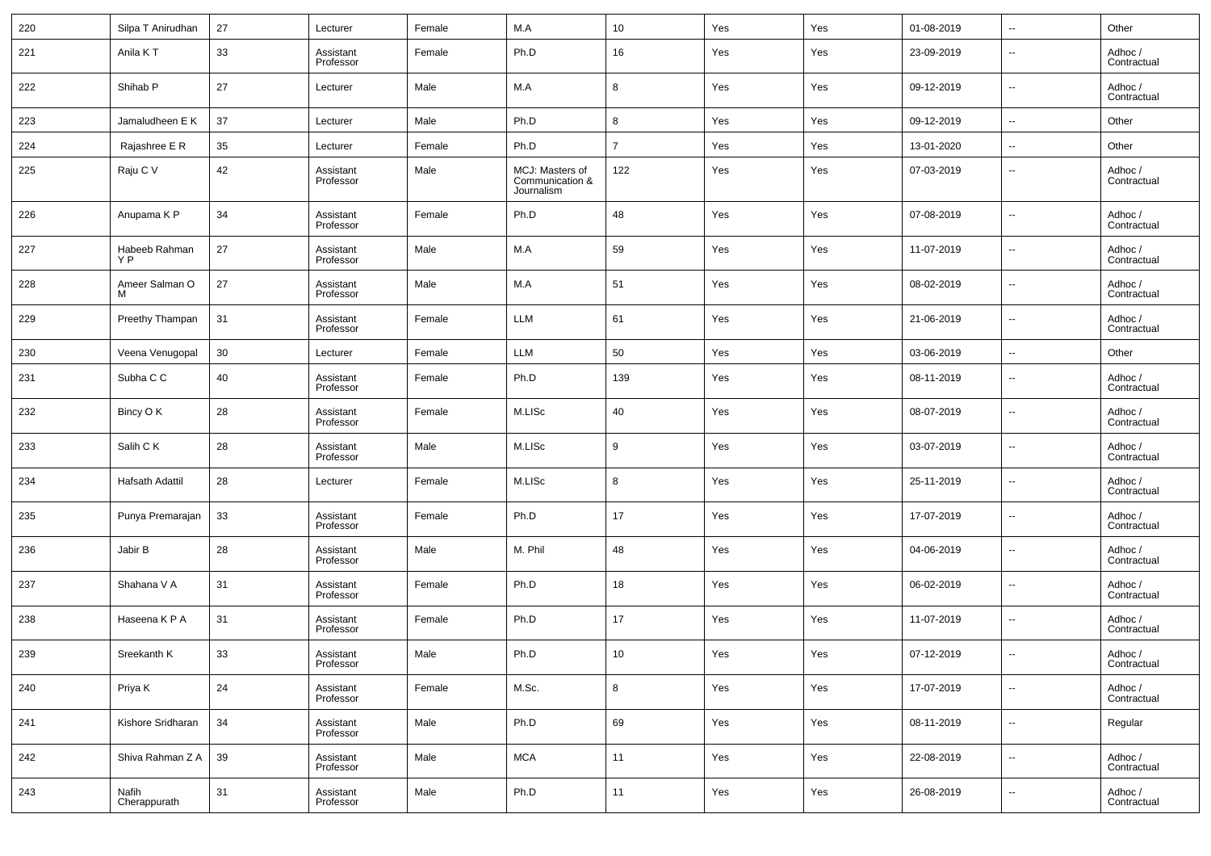| 220 | Silpa T Anirudhan     | 27 | Lecturer               | Female | M.A                                              | 10             | Yes | Yes | 01-08-2019 | $\sim$                   | Other                  |
|-----|-----------------------|----|------------------------|--------|--------------------------------------------------|----------------|-----|-----|------------|--------------------------|------------------------|
| 221 | Anila KT              | 33 | Assistant<br>Professor | Female | Ph.D                                             | 16             | Yes | Yes | 23-09-2019 | $\sim$                   | Adhoc /<br>Contractual |
| 222 | Shihab <sub>P</sub>   | 27 | Lecturer               | Male   | M.A                                              | 8              | Yes | Yes | 09-12-2019 | $\sim$                   | Adhoc /<br>Contractual |
| 223 | Jamaludheen E K       | 37 | Lecturer               | Male   | Ph.D                                             | 8              | Yes | Yes | 09-12-2019 | $\sim$                   | Other                  |
| 224 | Rajashree E R         | 35 | Lecturer               | Female | Ph.D                                             | $\overline{7}$ | Yes | Yes | 13-01-2020 | $\sim$                   | Other                  |
| 225 | Raju C V              | 42 | Assistant<br>Professor | Male   | MCJ: Masters of<br>Communication &<br>Journalism | 122            | Yes | Yes | 07-03-2019 | $\sim$                   | Adhoc /<br>Contractual |
| 226 | Anupama K P           | 34 | Assistant<br>Professor | Female | Ph.D                                             | 48             | Yes | Yes | 07-08-2019 | $\sim$                   | Adhoc /<br>Contractual |
| 227 | Habeeb Rahman<br>Y P  | 27 | Assistant<br>Professor | Male   | M.A                                              | 59             | Yes | Yes | 11-07-2019 | $\sim$                   | Adhoc /<br>Contractual |
| 228 | Ameer Salman O<br>M   | 27 | Assistant<br>Professor | Male   | M.A                                              | 51             | Yes | Yes | 08-02-2019 | $\sim$                   | Adhoc /<br>Contractual |
| 229 | Preethy Thampan       | 31 | Assistant<br>Professor | Female | <b>LLM</b>                                       | 61             | Yes | Yes | 21-06-2019 | $\sim$                   | Adhoc /<br>Contractual |
| 230 | Veena Venugopal       | 30 | Lecturer               | Female | <b>LLM</b>                                       | 50             | Yes | Yes | 03-06-2019 | $\sim$                   | Other                  |
| 231 | Subha C C             | 40 | Assistant<br>Professor | Female | Ph.D                                             | 139            | Yes | Yes | 08-11-2019 | $\sim$                   | Adhoc /<br>Contractual |
| 232 | Bincy O K             | 28 | Assistant<br>Professor | Female | M.LISc                                           | 40             | Yes | Yes | 08-07-2019 | $\sim$                   | Adhoc /<br>Contractual |
| 233 | Salih C K             | 28 | Assistant<br>Professor | Male   | M.LISc                                           | 9              | Yes | Yes | 03-07-2019 | $\sim$                   | Adhoc /<br>Contractual |
| 234 | Hafsath Adattil       | 28 | Lecturer               | Female | M.LISc                                           | 8              | Yes | Yes | 25-11-2019 | $\overline{\phantom{a}}$ | Adhoc /<br>Contractual |
| 235 | Punya Premarajan      | 33 | Assistant<br>Professor | Female | Ph.D                                             | 17             | Yes | Yes | 17-07-2019 | $\sim$                   | Adhoc /<br>Contractual |
| 236 | Jabir B               | 28 | Assistant<br>Professor | Male   | M. Phil                                          | 48             | Yes | Yes | 04-06-2019 | $\sim$                   | Adhoc /<br>Contractual |
| 237 | Shahana V A           | 31 | Assistant<br>Professor | Female | Ph.D                                             | 18             | Yes | Yes | 06-02-2019 | $\overline{\phantom{a}}$ | Adhoc /<br>Contractual |
| 238 | Haseena K P A         | 31 | Assistant<br>Professor | Female | Ph.D                                             | 17             | Yes | Yes | 11-07-2019 | $\sim$                   | Adhoc /<br>Contractual |
| 239 | Sreekanth K           | 33 | Assistant<br>Professor | Male   | Ph.D                                             | 10             | Yes | Yes | 07-12-2019 | $\overline{\phantom{a}}$ | Adhoc /<br>Contractual |
| 240 | Priya K               | 24 | Assistant<br>Professor | Female | M.Sc.                                            | 8              | Yes | Yes | 17-07-2019 | $\overline{\phantom{a}}$ | Adhoc /<br>Contractual |
| 241 | Kishore Sridharan     | 34 | Assistant<br>Professor | Male   | Ph.D                                             | 69             | Yes | Yes | 08-11-2019 | $\overline{\phantom{a}}$ | Regular                |
| 242 | Shiva Rahman Z A      | 39 | Assistant<br>Professor | Male   | <b>MCA</b>                                       | 11             | Yes | Yes | 22-08-2019 | $\overline{\phantom{a}}$ | Adhoc /<br>Contractual |
| 243 | Nafih<br>Cherappurath | 31 | Assistant<br>Professor | Male   | Ph.D                                             | 11             | Yes | Yes | 26-08-2019 | $\overline{\phantom{a}}$ | Adhoc /<br>Contractual |